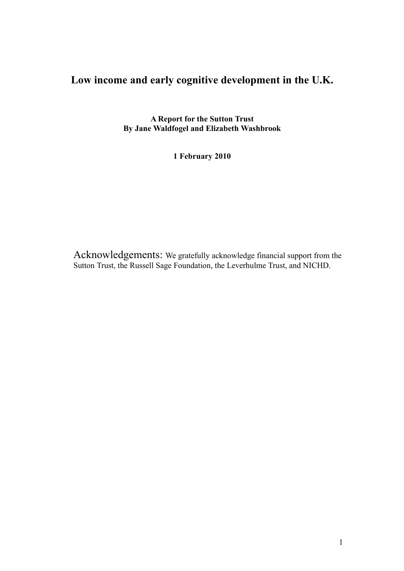# **Low income and early cognitive development in the U.K.**

**A Report for the Sutton Trust By Jane Waldfogel and Elizabeth Washbrook**

**1 February 2010**

Acknowledgements: We gratefully acknowledge financial support from the Sutton Trust, the Russell Sage Foundation, the Leverhulme Trust, and NICHD.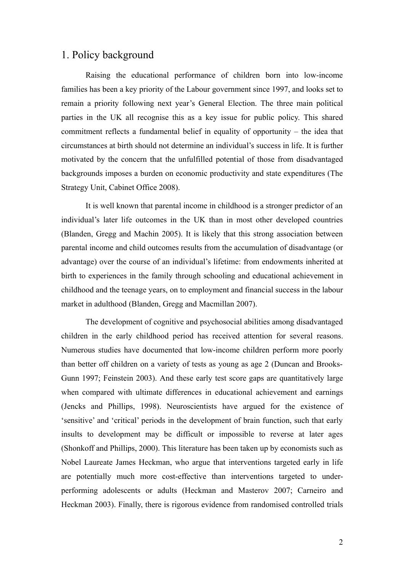## 1. Policy background

Raising the educational performance of children born into low-income families has been a key priority of the Labour government since 1997, and looks set to remain a priority following next year's General Election. The three main political parties in the UK all recognise this as a key issue for public policy. This shared commitment reflects a fundamental belief in equality of opportunity – the idea that circumstances at birth should not determine an individual's success in life. It is further motivated by the concern that the unfulfilled potential of those from disadvantaged backgrounds imposes a burden on economic productivity and state expenditures (The Strategy Unit, Cabinet Office 2008).

It is well known that parental income in childhood is a stronger predictor of an individual's later life outcomes in the UK than in most other developed countries (Blanden, Gregg and Machin 2005). It is likely that this strong association between parental income and child outcomes results from the accumulation of disadvantage (or advantage) over the course of an individual's lifetime: from endowments inherited at birth to experiences in the family through schooling and educational achievement in childhood and the teenage years, on to employment and financial success in the labour market in adulthood (Blanden, Gregg and Macmillan 2007).

The development of cognitive and psychosocial abilities among disadvantaged children in the early childhood period has received attention for several reasons. Numerous studies have documented that low-income children perform more poorly than better off children on a variety of tests as young as age 2 (Duncan and Brooks-Gunn 1997; Feinstein 2003). And these early test score gaps are quantitatively large when compared with ultimate differences in educational achievement and earnings (Jencks and Phillips, 1998). Neuroscientists have argued for the existence of 'sensitive' and 'critical' periods in the development of brain function, such that early insults to development may be difficult or impossible to reverse at later ages (Shonkoff and Phillips, 2000). This literature has been taken up by economists such as Nobel Laureate James Heckman, who argue that interventions targeted early in life are potentially much more cost-effective than interventions targeted to underperforming adolescents or adults (Heckman and Masterov 2007; Carneiro and Heckman 2003). Finally, there is rigorous evidence from randomised controlled trials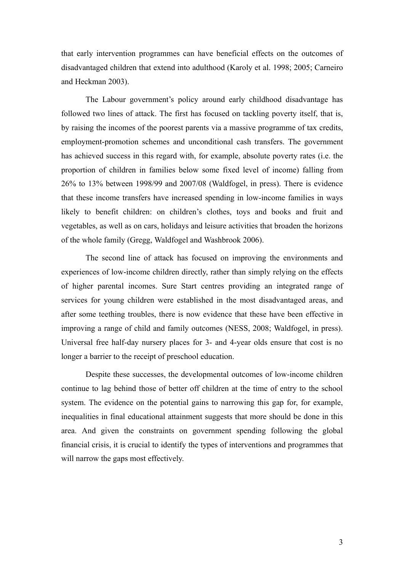that early intervention programmes can have beneficial effects on the outcomes of disadvantaged children that extend into adulthood (Karoly et al. 1998; 2005; Carneiro and Heckman 2003).

The Labour government's policy around early childhood disadvantage has followed two lines of attack. The first has focused on tackling poverty itself, that is, by raising the incomes of the poorest parents via a massive programme of tax credits, employment-promotion schemes and unconditional cash transfers. The government has achieved success in this regard with, for example, absolute poverty rates (i.e. the proportion of children in families below some fixed level of income) falling from 26% to 13% between 1998/99 and 2007/08 (Waldfogel, in press). There is evidence that these income transfers have increased spending in low-income families in ways likely to benefit children: on children's clothes, toys and books and fruit and vegetables, as well as on cars, holidays and leisure activities that broaden the horizons of the whole family (Gregg, Waldfogel and Washbrook 2006).

The second line of attack has focused on improving the environments and experiences of low-income children directly, rather than simply relying on the effects of higher parental incomes. Sure Start centres providing an integrated range of services for young children were established in the most disadvantaged areas, and after some teething troubles, there is now evidence that these have been effective in improving a range of child and family outcomes (NESS, 2008; Waldfogel, in press). Universal free half-day nursery places for 3- and 4-year olds ensure that cost is no longer a barrier to the receipt of preschool education.

Despite these successes, the developmental outcomes of low-income children continue to lag behind those of better off children at the time of entry to the school system. The evidence on the potential gains to narrowing this gap for, for example, inequalities in final educational attainment suggests that more should be done in this area. And given the constraints on government spending following the global financial crisis, it is crucial to identify the types of interventions and programmes that will narrow the gaps most effectively.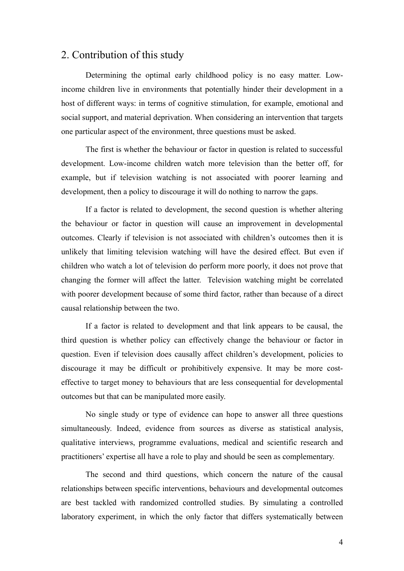## 2. Contribution of this study

Determining the optimal early childhood policy is no easy matter. Lowincome children live in environments that potentially hinder their development in a host of different ways: in terms of cognitive stimulation, for example, emotional and social support, and material deprivation. When considering an intervention that targets one particular aspect of the environment, three questions must be asked.

The first is whether the behaviour or factor in question is related to successful development. Low-income children watch more television than the better off, for example, but if television watching is not associated with poorer learning and development, then a policy to discourage it will do nothing to narrow the gaps.

If a factor is related to development, the second question is whether altering the behaviour or factor in question will cause an improvement in developmental outcomes. Clearly if television is not associated with children's outcomes then it is unlikely that limiting television watching will have the desired effect. But even if children who watch a lot of television do perform more poorly, it does not prove that changing the former will affect the latter. Television watching might be correlated with poorer development because of some third factor, rather than because of a direct causal relationship between the two.

If a factor is related to development and that link appears to be causal, the third question is whether policy can effectively change the behaviour or factor in question. Even if television does causally affect children's development, policies to discourage it may be difficult or prohibitively expensive. It may be more costeffective to target money to behaviours that are less consequential for developmental outcomes but that can be manipulated more easily.

No single study or type of evidence can hope to answer all three questions simultaneously. Indeed, evidence from sources as diverse as statistical analysis, qualitative interviews, programme evaluations, medical and scientific research and practitioners' expertise all have a role to play and should be seen as complementary.

The second and third questions, which concern the nature of the causal relationships between specific interventions, behaviours and developmental outcomes are best tackled with randomized controlled studies. By simulating a controlled laboratory experiment, in which the only factor that differs systematically between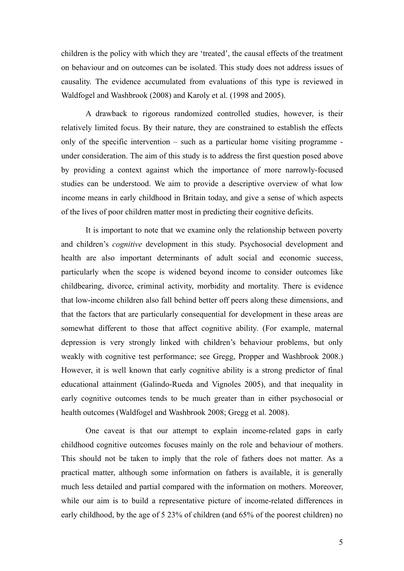children is the policy with which they are 'treated', the causal effects of the treatment on behaviour and on outcomes can be isolated. This study does not address issues of causality. The evidence accumulated from evaluations of this type is reviewed in Waldfogel and Washbrook (2008) and Karoly et al. (1998 and 2005).

A drawback to rigorous randomized controlled studies, however, is their relatively limited focus. By their nature, they are constrained to establish the effects only of the specific intervention – such as a particular home visiting programme under consideration. The aim of this study is to address the first question posed above by providing a context against which the importance of more narrowly-focused studies can be understood. We aim to provide a descriptive overview of what low income means in early childhood in Britain today, and give a sense of which aspects of the lives of poor children matter most in predicting their cognitive deficits.

It is important to note that we examine only the relationship between poverty and children's *cognitive* development in this study. Psychosocial development and health are also important determinants of adult social and economic success, particularly when the scope is widened beyond income to consider outcomes like childbearing, divorce, criminal activity, morbidity and mortality. There is evidence that low-income children also fall behind better off peers along these dimensions, and that the factors that are particularly consequential for development in these areas are somewhat different to those that affect cognitive ability. (For example, maternal depression is very strongly linked with children's behaviour problems, but only weakly with cognitive test performance; see Gregg, Propper and Washbrook 2008.) However, it is well known that early cognitive ability is a strong predictor of final educational attainment (Galindo-Rueda and Vignoles 2005), and that inequality in early cognitive outcomes tends to be much greater than in either psychosocial or health outcomes (Waldfogel and Washbrook 2008; Gregg et al. 2008).

One caveat is that our attempt to explain income-related gaps in early childhood cognitive outcomes focuses mainly on the role and behaviour of mothers. This should not be taken to imply that the role of fathers does not matter. As a practical matter, although some information on fathers is available, it is generally much less detailed and partial compared with the information on mothers. Moreover, while our aim is to build a representative picture of income-related differences in early childhood, by the age of 5 23% of children (and 65% of the poorest children) no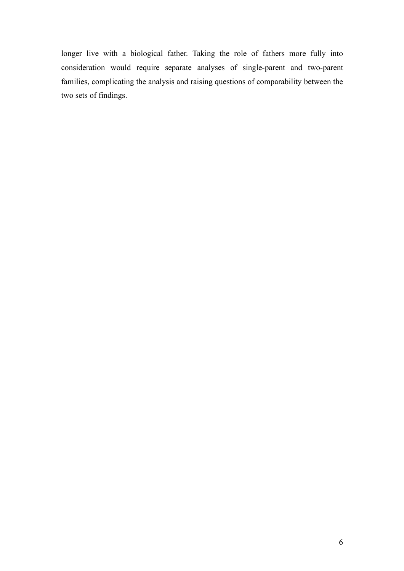longer live with a biological father. Taking the role of fathers more fully into consideration would require separate analyses of single-parent and two-parent families, complicating the analysis and raising questions of comparability between the two sets of findings.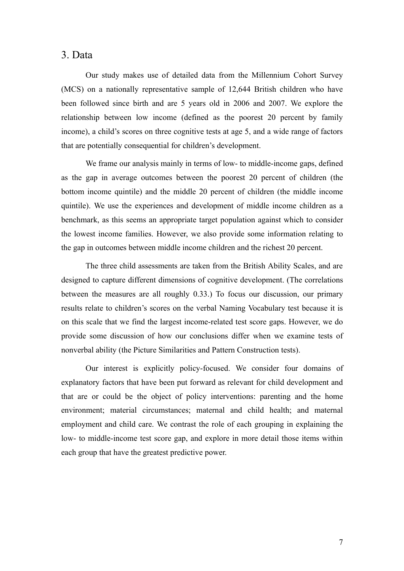#### 3. Data

Our study makes use of detailed data from the Millennium Cohort Survey (MCS) on a nationally representative sample of 12,644 British children who have been followed since birth and are 5 years old in 2006 and 2007. We explore the relationship between low income (defined as the poorest 20 percent by family income), a child's scores on three cognitive tests at age 5, and a wide range of factors that are potentially consequential for children's development.

We frame our analysis mainly in terms of low- to middle-income gaps, defined as the gap in average outcomes between the poorest 20 percent of children (the bottom income quintile) and the middle 20 percent of children (the middle income quintile). We use the experiences and development of middle income children as a benchmark, as this seems an appropriate target population against which to consider the lowest income families. However, we also provide some information relating to the gap in outcomes between middle income children and the richest 20 percent.

The three child assessments are taken from the British Ability Scales, and are designed to capture different dimensions of cognitive development. (The correlations between the measures are all roughly 0.33.) To focus our discussion, our primary results relate to children's scores on the verbal Naming Vocabulary test because it is on this scale that we find the largest income-related test score gaps. However, we do provide some discussion of how our conclusions differ when we examine tests of nonverbal ability (the Picture Similarities and Pattern Construction tests).

Our interest is explicitly policy-focused. We consider four domains of explanatory factors that have been put forward as relevant for child development and that are or could be the object of policy interventions: parenting and the home environment; material circumstances; maternal and child health; and maternal employment and child care. We contrast the role of each grouping in explaining the low- to middle-income test score gap, and explore in more detail those items within each group that have the greatest predictive power.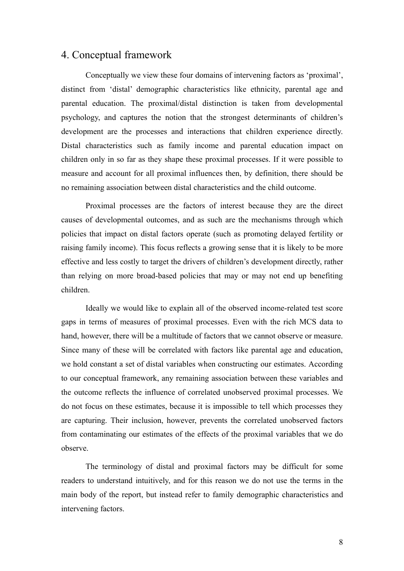## 4. Conceptual framework

Conceptually we view these four domains of intervening factors as 'proximal', distinct from 'distal' demographic characteristics like ethnicity, parental age and parental education. The proximal/distal distinction is taken from developmental psychology, and captures the notion that the strongest determinants of children's development are the processes and interactions that children experience directly. Distal characteristics such as family income and parental education impact on children only in so far as they shape these proximal processes. If it were possible to measure and account for all proximal influences then, by definition, there should be no remaining association between distal characteristics and the child outcome.

Proximal processes are the factors of interest because they are the direct causes of developmental outcomes, and as such are the mechanisms through which policies that impact on distal factors operate (such as promoting delayed fertility or raising family income). This focus reflects a growing sense that it is likely to be more effective and less costly to target the drivers of children's development directly, rather than relying on more broad-based policies that may or may not end up benefiting children.

Ideally we would like to explain all of the observed income-related test score gaps in terms of measures of proximal processes. Even with the rich MCS data to hand, however, there will be a multitude of factors that we cannot observe or measure. Since many of these will be correlated with factors like parental age and education, we hold constant a set of distal variables when constructing our estimates. According to our conceptual framework, any remaining association between these variables and the outcome reflects the influence of correlated unobserved proximal processes. We do not focus on these estimates, because it is impossible to tell which processes they are capturing. Their inclusion, however, prevents the correlated unobserved factors from contaminating our estimates of the effects of the proximal variables that we do observe.

The terminology of distal and proximal factors may be difficult for some readers to understand intuitively, and for this reason we do not use the terms in the main body of the report, but instead refer to family demographic characteristics and intervening factors.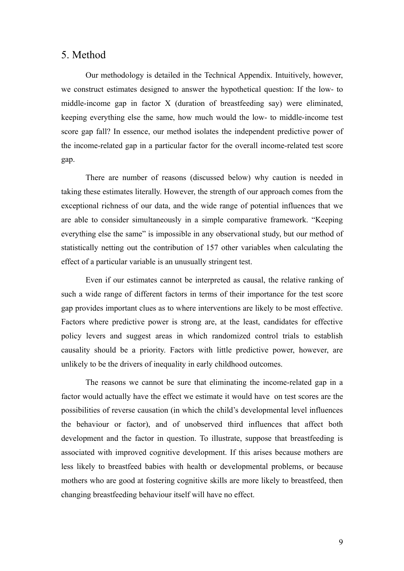#### 5. Method

Our methodology is detailed in the Technical Appendix. Intuitively, however, we construct estimates designed to answer the hypothetical question: If the low- to middle-income gap in factor X (duration of breastfeeding say) were eliminated, keeping everything else the same, how much would the low- to middle-income test score gap fall? In essence, our method isolates the independent predictive power of the income-related gap in a particular factor for the overall income-related test score gap.

There are number of reasons (discussed below) why caution is needed in taking these estimates literally. However, the strength of our approach comes from the exceptional richness of our data, and the wide range of potential influences that we are able to consider simultaneously in a simple comparative framework. "Keeping everything else the same" is impossible in any observational study, but our method of statistically netting out the contribution of 157 other variables when calculating the effect of a particular variable is an unusually stringent test.

Even if our estimates cannot be interpreted as causal, the relative ranking of such a wide range of different factors in terms of their importance for the test score gap provides important clues as to where interventions are likely to be most effective. Factors where predictive power is strong are, at the least, candidates for effective policy levers and suggest areas in which randomized control trials to establish causality should be a priority. Factors with little predictive power, however, are unlikely to be the drivers of inequality in early childhood outcomes.

The reasons we cannot be sure that eliminating the income-related gap in a factor would actually have the effect we estimate it would have on test scores are the possibilities of reverse causation (in which the child's developmental level influences the behaviour or factor), and of unobserved third influences that affect both development and the factor in question. To illustrate, suppose that breastfeeding is associated with improved cognitive development. If this arises because mothers are less likely to breastfeed babies with health or developmental problems, or because mothers who are good at fostering cognitive skills are more likely to breastfeed, then changing breastfeeding behaviour itself will have no effect.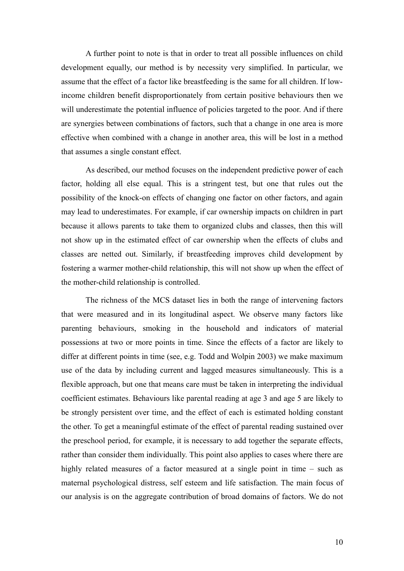A further point to note is that in order to treat all possible influences on child development equally, our method is by necessity very simplified. In particular, we assume that the effect of a factor like breastfeeding is the same for all children. If lowincome children benefit disproportionately from certain positive behaviours then we will underestimate the potential influence of policies targeted to the poor. And if there are synergies between combinations of factors, such that a change in one area is more effective when combined with a change in another area, this will be lost in a method that assumes a single constant effect.

As described, our method focuses on the independent predictive power of each factor, holding all else equal. This is a stringent test, but one that rules out the possibility of the knock-on effects of changing one factor on other factors, and again may lead to underestimates. For example, if car ownership impacts on children in part because it allows parents to take them to organized clubs and classes, then this will not show up in the estimated effect of car ownership when the effects of clubs and classes are netted out. Similarly, if breastfeeding improves child development by fostering a warmer mother-child relationship, this will not show up when the effect of the mother-child relationship is controlled.

The richness of the MCS dataset lies in both the range of intervening factors that were measured and in its longitudinal aspect. We observe many factors like parenting behaviours, smoking in the household and indicators of material possessions at two or more points in time. Since the effects of a factor are likely to differ at different points in time (see, e.g. Todd and Wolpin 2003) we make maximum use of the data by including current and lagged measures simultaneously. This is a flexible approach, but one that means care must be taken in interpreting the individual coefficient estimates. Behaviours like parental reading at age 3 and age 5 are likely to be strongly persistent over time, and the effect of each is estimated holding constant the other. To get a meaningful estimate of the effect of parental reading sustained over the preschool period, for example, it is necessary to add together the separate effects, rather than consider them individually. This point also applies to cases where there are highly related measures of a factor measured at a single point in time – such as maternal psychological distress, self esteem and life satisfaction. The main focus of our analysis is on the aggregate contribution of broad domains of factors. We do not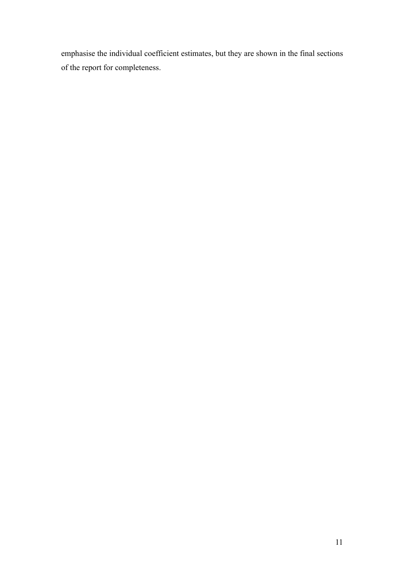emphasise the individual coefficient estimates, but they are shown in the final sections of the report for completeness.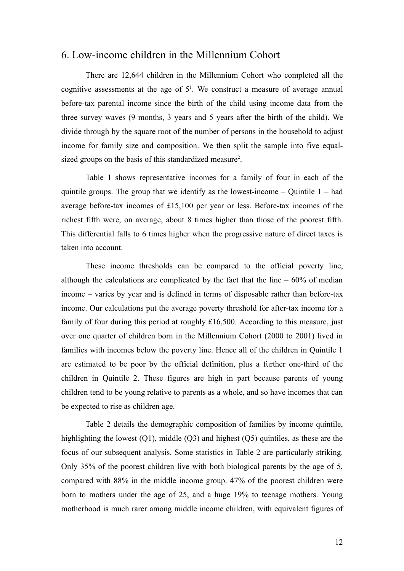### 6. Low-income children in the Millennium Cohort

There are 12,644 children in the Millennium Cohort who completed all the cognitive assessments at the age of  $5<sup>1</sup>$  $5<sup>1</sup>$  $5<sup>1</sup>$ . We construct a measure of average annual before-tax parental income since the birth of the child using income data from the three survey waves (9 months, 3 years and 5 years after the birth of the child). We divide through by the square root of the number of persons in the household to adjust income for family size and composition. We then split the sample into five equal-sized groups on the basis of this standardized measure<sup>[2](#page-59-1)</sup>.

Table 1 shows representative incomes for a family of four in each of the quintile groups. The group that we identify as the lowest-income  $-$  Quintile  $1 - had$ average before-tax incomes of £15,100 per year or less. Before-tax incomes of the richest fifth were, on average, about 8 times higher than those of the poorest fifth. This differential falls to 6 times higher when the progressive nature of direct taxes is taken into account.

These income thresholds can be compared to the official poverty line, although the calculations are complicated by the fact that the line  $-60\%$  of median income – varies by year and is defined in terms of disposable rather than before-tax income. Our calculations put the average poverty threshold for after-tax income for a family of four during this period at roughly £16,500. According to this measure, just over one quarter of children born in the Millennium Cohort (2000 to 2001) lived in families with incomes below the poverty line. Hence all of the children in Quintile 1 are estimated to be poor by the official definition, plus a further one-third of the children in Quintile 2. These figures are high in part because parents of young children tend to be young relative to parents as a whole, and so have incomes that can be expected to rise as children age.

Table 2 details the demographic composition of families by income quintile, highlighting the lowest (Q1), middle (Q3) and highest (Q5) quintiles, as these are the focus of our subsequent analysis. Some statistics in Table 2 are particularly striking. Only 35% of the poorest children live with both biological parents by the age of 5, compared with 88% in the middle income group. 47% of the poorest children were born to mothers under the age of 25, and a huge 19% to teenage mothers. Young motherhood is much rarer among middle income children, with equivalent figures of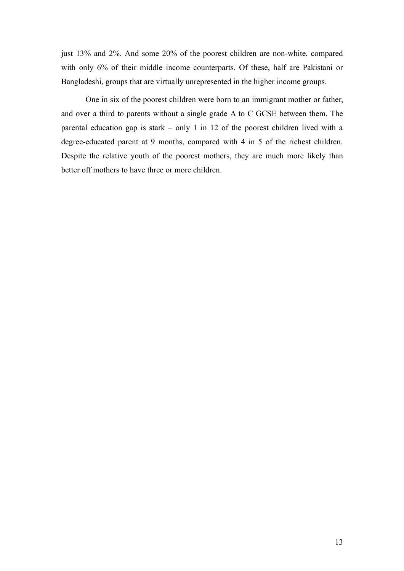just 13% and 2%. And some 20% of the poorest children are non-white, compared with only 6% of their middle income counterparts. Of these, half are Pakistani or Bangladeshi, groups that are virtually unrepresented in the higher income groups.

One in six of the poorest children were born to an immigrant mother or father, and over a third to parents without a single grade A to C GCSE between them. The parental education gap is stark – only 1 in 12 of the poorest children lived with a degree-educated parent at 9 months, compared with 4 in 5 of the richest children. Despite the relative youth of the poorest mothers, they are much more likely than better off mothers to have three or more children.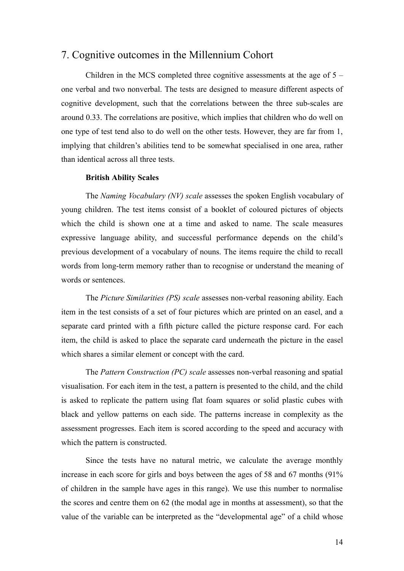## 7. Cognitive outcomes in the Millennium Cohort

Children in the MCS completed three cognitive assessments at the age of 5 – one verbal and two nonverbal. The tests are designed to measure different aspects of cognitive development, such that the correlations between the three sub-scales are around 0.33. The correlations are positive, which implies that children who do well on one type of test tend also to do well on the other tests. However, they are far from 1, implying that children's abilities tend to be somewhat specialised in one area, rather than identical across all three tests.

#### **British Ability Scales**

The *Naming Vocabulary (NV) scale* assesses the spoken English vocabulary of young children. The test items consist of a booklet of coloured pictures of objects which the child is shown one at a time and asked to name. The scale measures expressive language ability, and successful performance depends on the child's previous development of a vocabulary of nouns. The items require the child to recall words from long-term memory rather than to recognise or understand the meaning of words or sentences.

The *Picture Similarities (PS) scale* assesses non-verbal reasoning ability. Each item in the test consists of a set of four pictures which are printed on an easel, and a separate card printed with a fifth picture called the picture response card. For each item, the child is asked to place the separate card underneath the picture in the easel which shares a similar element or concept with the card.

The *Pattern Construction (PC) scale* assesses non-verbal reasoning and spatial visualisation. For each item in the test, a pattern is presented to the child, and the child is asked to replicate the pattern using flat foam squares or solid plastic cubes with black and yellow patterns on each side. The patterns increase in complexity as the assessment progresses. Each item is scored according to the speed and accuracy with which the pattern is constructed.

Since the tests have no natural metric, we calculate the average monthly increase in each score for girls and boys between the ages of 58 and 67 months (91% of children in the sample have ages in this range). We use this number to normalise the scores and centre them on 62 (the modal age in months at assessment), so that the value of the variable can be interpreted as the "developmental age" of a child whose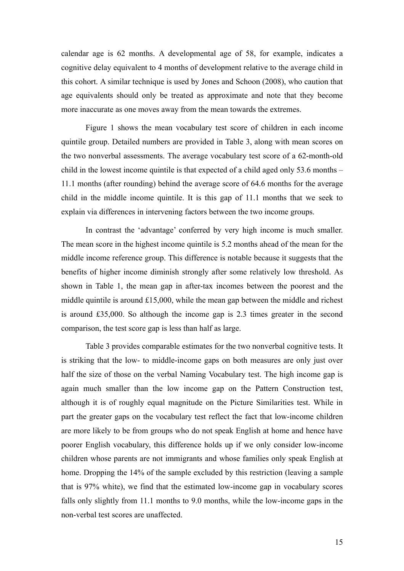calendar age is 62 months. A developmental age of 58, for example, indicates a cognitive delay equivalent to 4 months of development relative to the average child in this cohort. A similar technique is used by Jones and Schoon (2008), who caution that age equivalents should only be treated as approximate and note that they become more inaccurate as one moves away from the mean towards the extremes.

Figure 1 shows the mean vocabulary test score of children in each income quintile group. Detailed numbers are provided in Table 3, along with mean scores on the two nonverbal assessments. The average vocabulary test score of a 62-month-old child in the lowest income quintile is that expected of a child aged only 53.6 months – 11.1 months (after rounding) behind the average score of 64.6 months for the average child in the middle income quintile. It is this gap of 11.1 months that we seek to explain via differences in intervening factors between the two income groups.

In contrast the 'advantage' conferred by very high income is much smaller. The mean score in the highest income quintile is 5.2 months ahead of the mean for the middle income reference group. This difference is notable because it suggests that the benefits of higher income diminish strongly after some relatively low threshold. As shown in Table 1, the mean gap in after-tax incomes between the poorest and the middle quintile is around £15,000, while the mean gap between the middle and richest is around £35,000. So although the income gap is 2.3 times greater in the second comparison, the test score gap is less than half as large.

Table 3 provides comparable estimates for the two nonverbal cognitive tests. It is striking that the low- to middle-income gaps on both measures are only just over half the size of those on the verbal Naming Vocabulary test. The high income gap is again much smaller than the low income gap on the Pattern Construction test, although it is of roughly equal magnitude on the Picture Similarities test. While in part the greater gaps on the vocabulary test reflect the fact that low-income children are more likely to be from groups who do not speak English at home and hence have poorer English vocabulary, this difference holds up if we only consider low-income children whose parents are not immigrants and whose families only speak English at home. Dropping the 14% of the sample excluded by this restriction (leaving a sample that is 97% white), we find that the estimated low-income gap in vocabulary scores falls only slightly from 11.1 months to 9.0 months, while the low-income gaps in the non-verbal test scores are unaffected.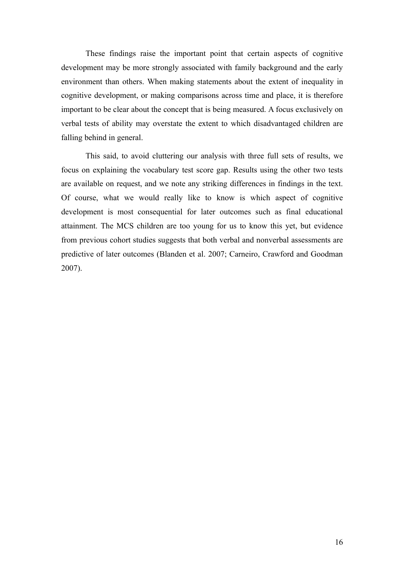These findings raise the important point that certain aspects of cognitive development may be more strongly associated with family background and the early environment than others. When making statements about the extent of inequality in cognitive development, or making comparisons across time and place, it is therefore important to be clear about the concept that is being measured. A focus exclusively on verbal tests of ability may overstate the extent to which disadvantaged children are falling behind in general.

This said, to avoid cluttering our analysis with three full sets of results, we focus on explaining the vocabulary test score gap. Results using the other two tests are available on request, and we note any striking differences in findings in the text. Of course, what we would really like to know is which aspect of cognitive development is most consequential for later outcomes such as final educational attainment. The MCS children are too young for us to know this yet, but evidence from previous cohort studies suggests that both verbal and nonverbal assessments are predictive of later outcomes (Blanden et al. 2007; Carneiro, Crawford and Goodman 2007).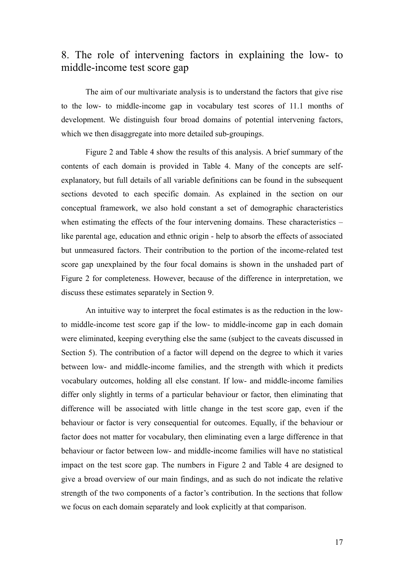# 8. The role of intervening factors in explaining the low- to middle-income test score gap

The aim of our multivariate analysis is to understand the factors that give rise to the low- to middle-income gap in vocabulary test scores of 11.1 months of development. We distinguish four broad domains of potential intervening factors, which we then disaggregate into more detailed sub-groupings.

Figure 2 and Table 4 show the results of this analysis. A brief summary of the contents of each domain is provided in Table 4. Many of the concepts are selfexplanatory, but full details of all variable definitions can be found in the subsequent sections devoted to each specific domain. As explained in the section on our conceptual framework, we also hold constant a set of demographic characteristics when estimating the effects of the four intervening domains. These characteristics – like parental age, education and ethnic origin - help to absorb the effects of associated but unmeasured factors. Their contribution to the portion of the income-related test score gap unexplained by the four focal domains is shown in the unshaded part of Figure 2 for completeness. However, because of the difference in interpretation, we discuss these estimates separately in Section 9.

An intuitive way to interpret the focal estimates is as the reduction in the lowto middle-income test score gap if the low- to middle-income gap in each domain were eliminated, keeping everything else the same (subject to the caveats discussed in Section 5). The contribution of a factor will depend on the degree to which it varies between low- and middle-income families, and the strength with which it predicts vocabulary outcomes, holding all else constant. If low- and middle-income families differ only slightly in terms of a particular behaviour or factor, then eliminating that difference will be associated with little change in the test score gap, even if the behaviour or factor is very consequential for outcomes. Equally, if the behaviour or factor does not matter for vocabulary, then eliminating even a large difference in that behaviour or factor between low- and middle-income families will have no statistical impact on the test score gap. The numbers in Figure 2 and Table 4 are designed to give a broad overview of our main findings, and as such do not indicate the relative strength of the two components of a factor's contribution. In the sections that follow we focus on each domain separately and look explicitly at that comparison.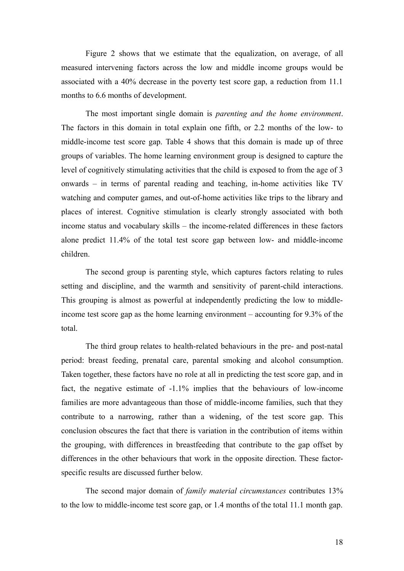Figure 2 shows that we estimate that the equalization, on average, of all measured intervening factors across the low and middle income groups would be associated with a 40% decrease in the poverty test score gap, a reduction from 11.1 months to 6.6 months of development.

The most important single domain is *parenting and the home environment*. The factors in this domain in total explain one fifth, or 2.2 months of the low- to middle-income test score gap. Table 4 shows that this domain is made up of three groups of variables. The home learning environment group is designed to capture the level of cognitively stimulating activities that the child is exposed to from the age of 3 onwards – in terms of parental reading and teaching, in-home activities like TV watching and computer games, and out-of-home activities like trips to the library and places of interest. Cognitive stimulation is clearly strongly associated with both income status and vocabulary skills – the income-related differences in these factors alone predict 11.4% of the total test score gap between low- and middle-income children.

The second group is parenting style, which captures factors relating to rules setting and discipline, and the warmth and sensitivity of parent-child interactions. This grouping is almost as powerful at independently predicting the low to middleincome test score gap as the home learning environment – accounting for 9.3% of the total.

The third group relates to health-related behaviours in the pre- and post-natal period: breast feeding, prenatal care, parental smoking and alcohol consumption. Taken together, these factors have no role at all in predicting the test score gap, and in fact, the negative estimate of -1.1% implies that the behaviours of low-income families are more advantageous than those of middle-income families, such that they contribute to a narrowing, rather than a widening, of the test score gap. This conclusion obscures the fact that there is variation in the contribution of items within the grouping, with differences in breastfeeding that contribute to the gap offset by differences in the other behaviours that work in the opposite direction. These factorspecific results are discussed further below.

The second major domain of *family material circumstances* contributes 13% to the low to middle-income test score gap, or 1.4 months of the total 11.1 month gap.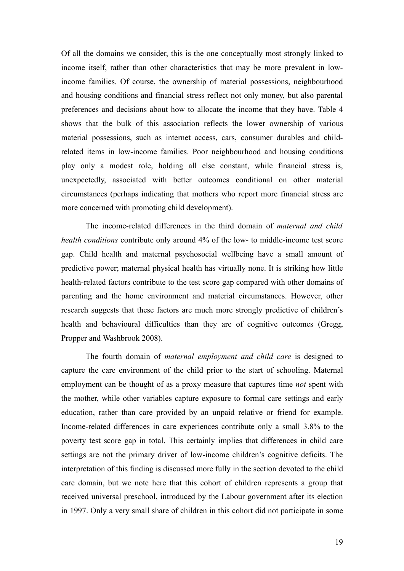Of all the domains we consider, this is the one conceptually most strongly linked to income itself, rather than other characteristics that may be more prevalent in lowincome families. Of course, the ownership of material possessions, neighbourhood and housing conditions and financial stress reflect not only money, but also parental preferences and decisions about how to allocate the income that they have. Table 4 shows that the bulk of this association reflects the lower ownership of various material possessions, such as internet access, cars, consumer durables and childrelated items in low-income families. Poor neighbourhood and housing conditions play only a modest role, holding all else constant, while financial stress is, unexpectedly, associated with better outcomes conditional on other material circumstances (perhaps indicating that mothers who report more financial stress are more concerned with promoting child development).

The income-related differences in the third domain of *maternal and child health conditions* contribute only around 4% of the low- to middle-income test score gap. Child health and maternal psychosocial wellbeing have a small amount of predictive power; maternal physical health has virtually none. It is striking how little health-related factors contribute to the test score gap compared with other domains of parenting and the home environment and material circumstances. However, other research suggests that these factors are much more strongly predictive of children's health and behavioural difficulties than they are of cognitive outcomes (Gregg, Propper and Washbrook 2008).

The fourth domain of *maternal employment and child care* is designed to capture the care environment of the child prior to the start of schooling. Maternal employment can be thought of as a proxy measure that captures time *not* spent with the mother, while other variables capture exposure to formal care settings and early education, rather than care provided by an unpaid relative or friend for example. Income-related differences in care experiences contribute only a small 3.8% to the poverty test score gap in total. This certainly implies that differences in child care settings are not the primary driver of low-income children's cognitive deficits. The interpretation of this finding is discussed more fully in the section devoted to the child care domain, but we note here that this cohort of children represents a group that received universal preschool, introduced by the Labour government after its election in 1997. Only a very small share of children in this cohort did not participate in some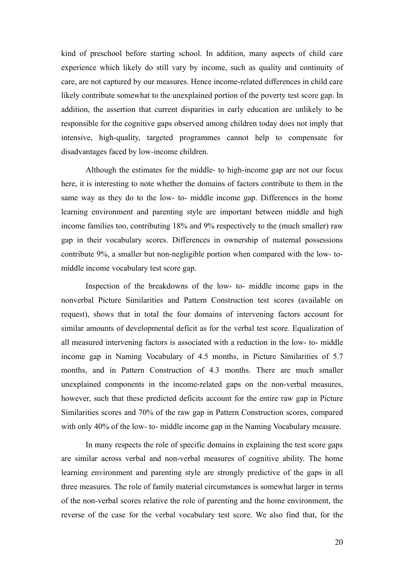kind of preschool before starting school. In addition, many aspects of child care experience which likely do still vary by income, such as quality and continuity of care, are not captured by our measures. Hence income-related differences in child care likely contribute somewhat to the unexplained portion of the poverty test score gap. In addition, the assertion that current disparities in early education are unlikely to be responsible for the cognitive gaps observed among children today does not imply that intensive, high-quality, targeted programmes cannot help to compensate for disadvantages faced by low-income children.

Although the estimates for the middle- to high-income gap are not our focus here, it is interesting to note whether the domains of factors contribute to them in the same way as they do to the low- to- middle income gap. Differences in the home learning environment and parenting style are important between middle and high income families too, contributing 18% and 9% respectively to the (much smaller) raw gap in their vocabulary scores. Differences in ownership of maternal possessions contribute 9%, a smaller but non-negligible portion when compared with the low- tomiddle income vocabulary test score gap.

Inspection of the breakdowns of the low- to- middle income gaps in the nonverbal Picture Similarities and Pattern Construction test scores (available on request), shows that in total the four domains of intervening factors account for similar amounts of developmental deficit as for the verbal test score. Equalization of all measured intervening factors is associated with a reduction in the low- to- middle income gap in Naming Vocabulary of 4.5 months, in Picture Similarities of 5.7 months, and in Pattern Construction of 4.3 months. There are much smaller unexplained components in the income-related gaps on the non-verbal measures, however, such that these predicted deficits account for the entire raw gap in Picture Similarities scores and 70% of the raw gap in Pattern Construction scores, compared with only 40% of the low- to- middle income gap in the Naming Vocabulary measure.

In many respects the role of specific domains in explaining the test score gaps are similar across verbal and non-verbal measures of cognitive ability. The home learning environment and parenting style are strongly predictive of the gaps in all three measures. The role of family material circumstances is somewhat larger in terms of the non-verbal scores relative the role of parenting and the home environment, the reverse of the case for the verbal vocabulary test score. We also find that, for the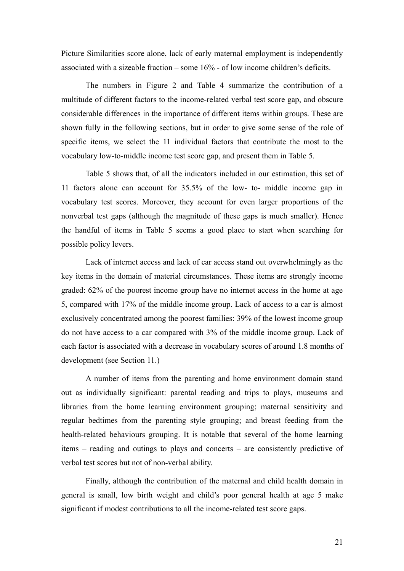Picture Similarities score alone, lack of early maternal employment is independently associated with a sizeable fraction – some 16% - of low income children's deficits.

The numbers in Figure 2 and Table 4 summarize the contribution of a multitude of different factors to the income-related verbal test score gap, and obscure considerable differences in the importance of different items within groups. These are shown fully in the following sections, but in order to give some sense of the role of specific items, we select the 11 individual factors that contribute the most to the vocabulary low-to-middle income test score gap, and present them in Table 5.

Table 5 shows that, of all the indicators included in our estimation, this set of 11 factors alone can account for 35.5% of the low- to- middle income gap in vocabulary test scores. Moreover, they account for even larger proportions of the nonverbal test gaps (although the magnitude of these gaps is much smaller). Hence the handful of items in Table 5 seems a good place to start when searching for possible policy levers.

Lack of internet access and lack of car access stand out overwhelmingly as the key items in the domain of material circumstances. These items are strongly income graded: 62% of the poorest income group have no internet access in the home at age 5, compared with 17% of the middle income group. Lack of access to a car is almost exclusively concentrated among the poorest families: 39% of the lowest income group do not have access to a car compared with 3% of the middle income group. Lack of each factor is associated with a decrease in vocabulary scores of around 1.8 months of development (see Section 11.)

A number of items from the parenting and home environment domain stand out as individually significant: parental reading and trips to plays, museums and libraries from the home learning environment grouping; maternal sensitivity and regular bedtimes from the parenting style grouping; and breast feeding from the health-related behaviours grouping. It is notable that several of the home learning items – reading and outings to plays and concerts – are consistently predictive of verbal test scores but not of non-verbal ability.

Finally, although the contribution of the maternal and child health domain in general is small, low birth weight and child's poor general health at age 5 make significant if modest contributions to all the income-related test score gaps.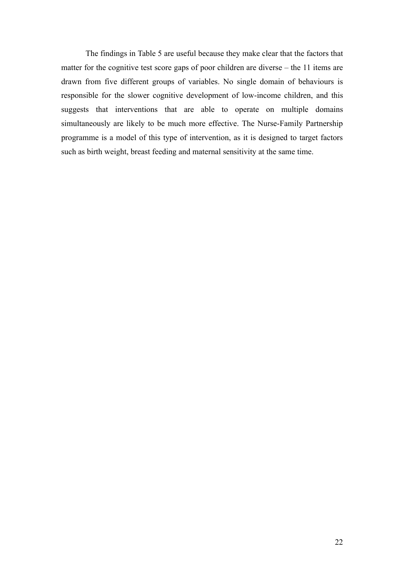The findings in Table 5 are useful because they make clear that the factors that matter for the cognitive test score gaps of poor children are diverse – the 11 items are drawn from five different groups of variables. No single domain of behaviours is responsible for the slower cognitive development of low-income children, and this suggests that interventions that are able to operate on multiple domains simultaneously are likely to be much more effective. The Nurse-Family Partnership programme is a model of this type of intervention, as it is designed to target factors such as birth weight, breast feeding and maternal sensitivity at the same time.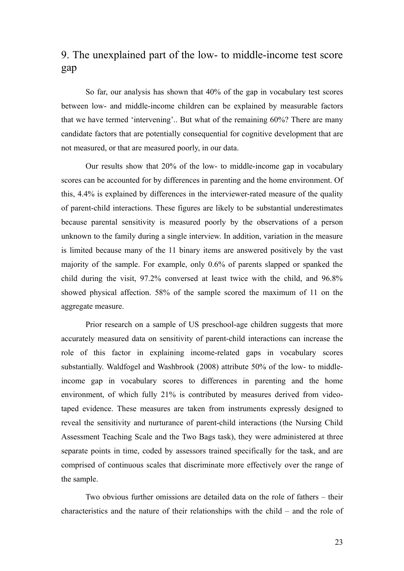# 9. The unexplained part of the low- to middle-income test score gap

So far, our analysis has shown that 40% of the gap in vocabulary test scores between low- and middle-income children can be explained by measurable factors that we have termed 'intervening'.. But what of the remaining 60%? There are many candidate factors that are potentially consequential for cognitive development that are not measured, or that are measured poorly, in our data.

Our results show that 20% of the low- to middle-income gap in vocabulary scores can be accounted for by differences in parenting and the home environment. Of this, 4.4% is explained by differences in the interviewer-rated measure of the quality of parent-child interactions. These figures are likely to be substantial underestimates because parental sensitivity is measured poorly by the observations of a person unknown to the family during a single interview. In addition, variation in the measure is limited because many of the 11 binary items are answered positively by the vast majority of the sample. For example, only 0.6% of parents slapped or spanked the child during the visit, 97.2% conversed at least twice with the child, and 96.8% showed physical affection. 58% of the sample scored the maximum of 11 on the aggregate measure.

Prior research on a sample of US preschool-age children suggests that more accurately measured data on sensitivity of parent-child interactions can increase the role of this factor in explaining income-related gaps in vocabulary scores substantially. Waldfogel and Washbrook (2008) attribute 50% of the low- to middleincome gap in vocabulary scores to differences in parenting and the home environment, of which fully 21% is contributed by measures derived from videotaped evidence. These measures are taken from instruments expressly designed to reveal the sensitivity and nurturance of parent-child interactions (the Nursing Child Assessment Teaching Scale and the Two Bags task), they were administered at three separate points in time, coded by assessors trained specifically for the task, and are comprised of continuous scales that discriminate more effectively over the range of the sample.

Two obvious further omissions are detailed data on the role of fathers – their characteristics and the nature of their relationships with the child – and the role of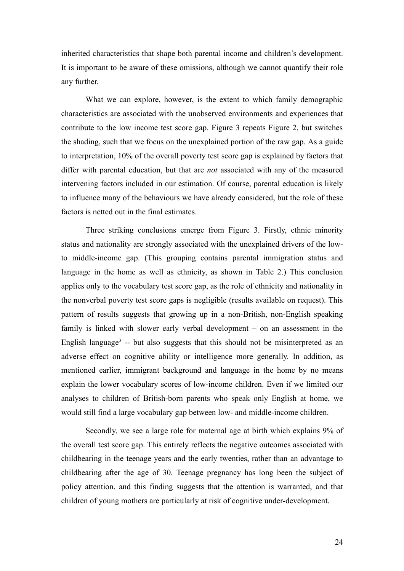inherited characteristics that shape both parental income and children's development. It is important to be aware of these omissions, although we cannot quantify their role any further.

What we can explore, however, is the extent to which family demographic characteristics are associated with the unobserved environments and experiences that contribute to the low income test score gap. Figure 3 repeats Figure 2, but switches the shading, such that we focus on the unexplained portion of the raw gap. As a guide to interpretation, 10% of the overall poverty test score gap is explained by factors that differ with parental education, but that are *not* associated with any of the measured intervening factors included in our estimation. Of course, parental education is likely to influence many of the behaviours we have already considered, but the role of these factors is netted out in the final estimates.

Three striking conclusions emerge from Figure 3. Firstly, ethnic minority status and nationality are strongly associated with the unexplained drivers of the lowto middle-income gap. (This grouping contains parental immigration status and language in the home as well as ethnicity, as shown in Table 2.) This conclusion applies only to the vocabulary test score gap, as the role of ethnicity and nationality in the nonverbal poverty test score gaps is negligible (results available on request). This pattern of results suggests that growing up in a non-British, non-English speaking family is linked with slower early verbal development – on an assessment in the English language<sup>[3](#page-59-2)</sup> -- but also suggests that this should not be misinterpreted as an adverse effect on cognitive ability or intelligence more generally. In addition, as mentioned earlier, immigrant background and language in the home by no means explain the lower vocabulary scores of low-income children. Even if we limited our analyses to children of British-born parents who speak only English at home, we would still find a large vocabulary gap between low- and middle-income children.

Secondly, we see a large role for maternal age at birth which explains 9% of the overall test score gap. This entirely reflects the negative outcomes associated with childbearing in the teenage years and the early twenties, rather than an advantage to childbearing after the age of 30. Teenage pregnancy has long been the subject of policy attention, and this finding suggests that the attention is warranted, and that children of young mothers are particularly at risk of cognitive under-development.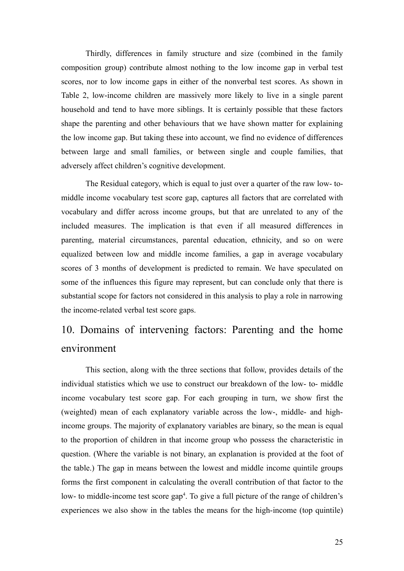Thirdly, differences in family structure and size (combined in the family composition group) contribute almost nothing to the low income gap in verbal test scores, nor to low income gaps in either of the nonverbal test scores. As shown in Table 2, low-income children are massively more likely to live in a single parent household and tend to have more siblings. It is certainly possible that these factors shape the parenting and other behaviours that we have shown matter for explaining the low income gap. But taking these into account, we find no evidence of differences between large and small families, or between single and couple families, that adversely affect children's cognitive development.

The Residual category, which is equal to just over a quarter of the raw low- tomiddle income vocabulary test score gap, captures all factors that are correlated with vocabulary and differ across income groups, but that are unrelated to any of the included measures. The implication is that even if all measured differences in parenting, material circumstances, parental education, ethnicity, and so on were equalized between low and middle income families, a gap in average vocabulary scores of 3 months of development is predicted to remain. We have speculated on some of the influences this figure may represent, but can conclude only that there is substantial scope for factors not considered in this analysis to play a role in narrowing the income-related verbal test score gaps.

# 10. Domains of intervening factors: Parenting and the home environment

This section, along with the three sections that follow, provides details of the individual statistics which we use to construct our breakdown of the low- to- middle income vocabulary test score gap. For each grouping in turn, we show first the (weighted) mean of each explanatory variable across the low-, middle- and highincome groups. The majority of explanatory variables are binary, so the mean is equal to the proportion of children in that income group who possess the characteristic in question. (Where the variable is not binary, an explanation is provided at the foot of the table.) The gap in means between the lowest and middle income quintile groups forms the first component in calculating the overall contribution of that factor to the low- to middle-income test score gap<sup>[4](#page-59-3)</sup>. To give a full picture of the range of children's experiences we also show in the tables the means for the high-income (top quintile)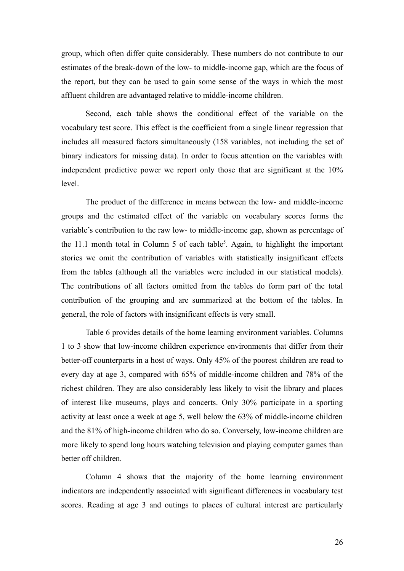group, which often differ quite considerably. These numbers do not contribute to our estimates of the break-down of the low- to middle-income gap, which are the focus of the report, but they can be used to gain some sense of the ways in which the most affluent children are advantaged relative to middle-income children.

Second, each table shows the conditional effect of the variable on the vocabulary test score. This effect is the coefficient from a single linear regression that includes all measured factors simultaneously (158 variables, not including the set of binary indicators for missing data). In order to focus attention on the variables with independent predictive power we report only those that are significant at the 10% level.

The product of the difference in means between the low- and middle-income groups and the estimated effect of the variable on vocabulary scores forms the variable's contribution to the raw low- to middle-income gap, shown as percentage of the 11.1 month total in Column 5 of each table [5](#page-59-4) . Again, to highlight the important stories we omit the contribution of variables with statistically insignificant effects from the tables (although all the variables were included in our statistical models). The contributions of all factors omitted from the tables do form part of the total contribution of the grouping and are summarized at the bottom of the tables. In general, the role of factors with insignificant effects is very small.

Table 6 provides details of the home learning environment variables. Columns 1 to 3 show that low-income children experience environments that differ from their better-off counterparts in a host of ways. Only 45% of the poorest children are read to every day at age 3, compared with 65% of middle-income children and 78% of the richest children. They are also considerably less likely to visit the library and places of interest like museums, plays and concerts. Only 30% participate in a sporting activity at least once a week at age 5, well below the 63% of middle-income children and the 81% of high-income children who do so. Conversely, low-income children are more likely to spend long hours watching television and playing computer games than better off children.

Column 4 shows that the majority of the home learning environment indicators are independently associated with significant differences in vocabulary test scores. Reading at age 3 and outings to places of cultural interest are particularly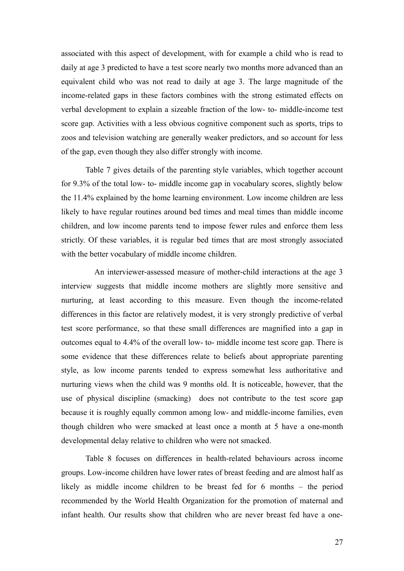associated with this aspect of development, with for example a child who is read to daily at age 3 predicted to have a test score nearly two months more advanced than an equivalent child who was not read to daily at age 3. The large magnitude of the income-related gaps in these factors combines with the strong estimated effects on verbal development to explain a sizeable fraction of the low- to- middle-income test score gap. Activities with a less obvious cognitive component such as sports, trips to zoos and television watching are generally weaker predictors, and so account for less of the gap, even though they also differ strongly with income.

Table 7 gives details of the parenting style variables, which together account for 9.3% of the total low- to- middle income gap in vocabulary scores, slightly below the 11.4% explained by the home learning environment. Low income children are less likely to have regular routines around bed times and meal times than middle income children, and low income parents tend to impose fewer rules and enforce them less strictly. Of these variables, it is regular bed times that are most strongly associated with the better vocabulary of middle income children.

An interviewer-assessed measure of mother-child interactions at the age 3 interview suggests that middle income mothers are slightly more sensitive and nurturing, at least according to this measure. Even though the income-related differences in this factor are relatively modest, it is very strongly predictive of verbal test score performance, so that these small differences are magnified into a gap in outcomes equal to 4.4% of the overall low- to- middle income test score gap. There is some evidence that these differences relate to beliefs about appropriate parenting style, as low income parents tended to express somewhat less authoritative and nurturing views when the child was 9 months old. It is noticeable, however, that the use of physical discipline (smacking) does not contribute to the test score gap because it is roughly equally common among low- and middle-income families, even though children who were smacked at least once a month at 5 have a one-month developmental delay relative to children who were not smacked.

Table 8 focuses on differences in health-related behaviours across income groups. Low-income children have lower rates of breast feeding and are almost half as likely as middle income children to be breast fed for 6 months – the period recommended by the World Health Organization for the promotion of maternal and infant health. Our results show that children who are never breast fed have a one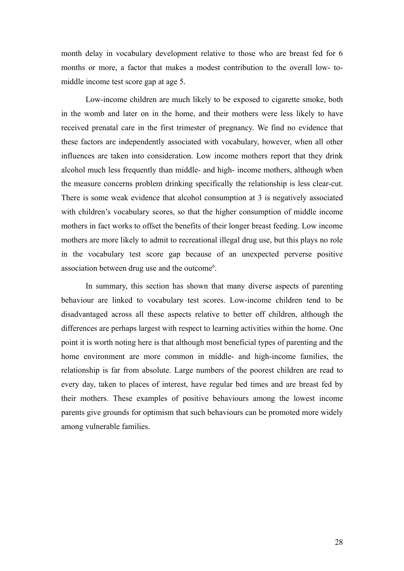month delay in vocabulary development relative to those who are breast fed for 6 months or more, a factor that makes a modest contribution to the overall low- tomiddle income test score gap at age 5.

Low-income children are much likely to be exposed to cigarette smoke, both in the womb and later on in the home, and their mothers were less likely to have received prenatal care in the first trimester of pregnancy. We find no evidence that these factors are independently associated with vocabulary, however, when all other influences are taken into consideration. Low income mothers report that they drink alcohol much less frequently than middle- and high- income mothers, although when the measure concerns problem drinking specifically the relationship is less clear-cut. There is some weak evidence that alcohol consumption at 3 is negatively associated with children's vocabulary scores, so that the higher consumption of middle income mothers in fact works to offset the benefits of their longer breast feeding. Low income mothers are more likely to admit to recreational illegal drug use, but this plays no role in the vocabulary test score gap because of an unexpected perverse positive association between drug use and the outcome<sup>[6](#page-59-5)</sup>.

In summary, this section has shown that many diverse aspects of parenting behaviour are linked to vocabulary test scores. Low-income children tend to be disadvantaged across all these aspects relative to better off children, although the differences are perhaps largest with respect to learning activities within the home. One point it is worth noting here is that although most beneficial types of parenting and the home environment are more common in middle- and high-income families, the relationship is far from absolute. Large numbers of the poorest children are read to every day, taken to places of interest, have regular bed times and are breast fed by their mothers. These examples of positive behaviours among the lowest income parents give grounds for optimism that such behaviours can be promoted more widely among vulnerable families.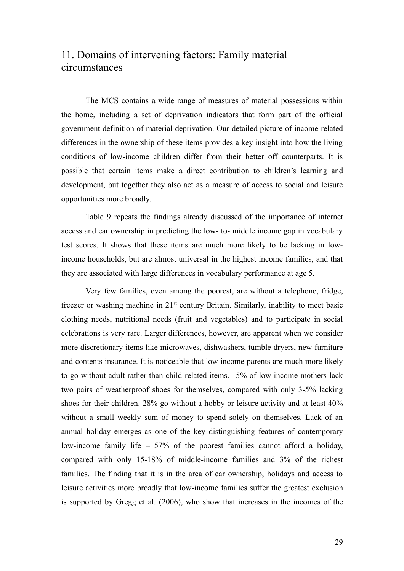# 11. Domains of intervening factors: Family material circumstances

The MCS contains a wide range of measures of material possessions within the home, including a set of deprivation indicators that form part of the official government definition of material deprivation. Our detailed picture of income-related differences in the ownership of these items provides a key insight into how the living conditions of low-income children differ from their better off counterparts. It is possible that certain items make a direct contribution to children's learning and development, but together they also act as a measure of access to social and leisure opportunities more broadly.

Table 9 repeats the findings already discussed of the importance of internet access and car ownership in predicting the low- to- middle income gap in vocabulary test scores. It shows that these items are much more likely to be lacking in lowincome households, but are almost universal in the highest income families, and that they are associated with large differences in vocabulary performance at age 5.

Very few families, even among the poorest, are without a telephone, fridge, freezer or washing machine in 21<sup>st</sup> century Britain. Similarly, inability to meet basic clothing needs, nutritional needs (fruit and vegetables) and to participate in social celebrations is very rare. Larger differences, however, are apparent when we consider more discretionary items like microwaves, dishwashers, tumble dryers, new furniture and contents insurance. It is noticeable that low income parents are much more likely to go without adult rather than child-related items. 15% of low income mothers lack two pairs of weatherproof shoes for themselves, compared with only 3-5% lacking shoes for their children. 28% go without a hobby or leisure activity and at least 40% without a small weekly sum of money to spend solely on themselves. Lack of an annual holiday emerges as one of the key distinguishing features of contemporary low-income family life – 57% of the poorest families cannot afford a holiday, compared with only 15-18% of middle-income families and 3% of the richest families. The finding that it is in the area of car ownership, holidays and access to leisure activities more broadly that low-income families suffer the greatest exclusion is supported by Gregg et al. (2006), who show that increases in the incomes of the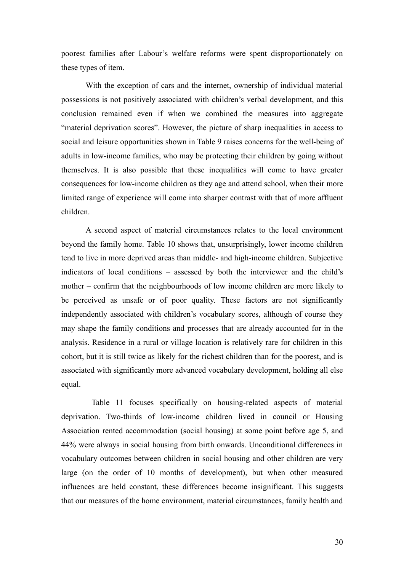poorest families after Labour's welfare reforms were spent disproportionately on these types of item.

With the exception of cars and the internet, ownership of individual material possessions is not positively associated with children's verbal development, and this conclusion remained even if when we combined the measures into aggregate "material deprivation scores". However, the picture of sharp inequalities in access to social and leisure opportunities shown in Table 9 raises concerns for the well-being of adults in low-income families, who may be protecting their children by going without themselves. It is also possible that these inequalities will come to have greater consequences for low-income children as they age and attend school, when their more limited range of experience will come into sharper contrast with that of more affluent children.

A second aspect of material circumstances relates to the local environment beyond the family home. Table 10 shows that, unsurprisingly, lower income children tend to live in more deprived areas than middle- and high-income children. Subjective indicators of local conditions – assessed by both the interviewer and the child's mother – confirm that the neighbourhoods of low income children are more likely to be perceived as unsafe or of poor quality. These factors are not significantly independently associated with children's vocabulary scores, although of course they may shape the family conditions and processes that are already accounted for in the analysis. Residence in a rural or village location is relatively rare for children in this cohort, but it is still twice as likely for the richest children than for the poorest, and is associated with significantly more advanced vocabulary development, holding all else equal.

Table 11 focuses specifically on housing-related aspects of material deprivation. Two-thirds of low-income children lived in council or Housing Association rented accommodation (social housing) at some point before age 5, and 44% were always in social housing from birth onwards. Unconditional differences in vocabulary outcomes between children in social housing and other children are very large (on the order of 10 months of development), but when other measured influences are held constant, these differences become insignificant. This suggests that our measures of the home environment, material circumstances, family health and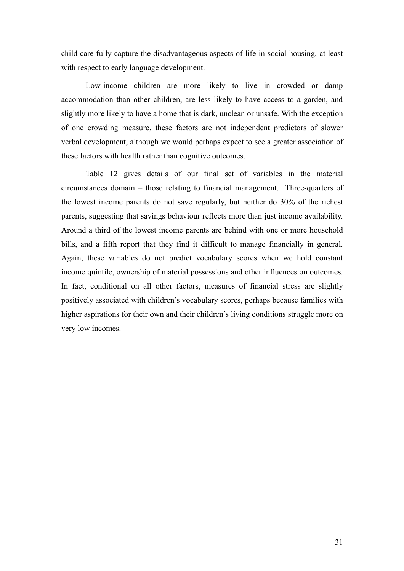child care fully capture the disadvantageous aspects of life in social housing, at least with respect to early language development.

Low-income children are more likely to live in crowded or damp accommodation than other children, are less likely to have access to a garden, and slightly more likely to have a home that is dark, unclean or unsafe. With the exception of one crowding measure, these factors are not independent predictors of slower verbal development, although we would perhaps expect to see a greater association of these factors with health rather than cognitive outcomes.

Table 12 gives details of our final set of variables in the material circumstances domain – those relating to financial management. Three-quarters of the lowest income parents do not save regularly, but neither do 30% of the richest parents, suggesting that savings behaviour reflects more than just income availability. Around a third of the lowest income parents are behind with one or more household bills, and a fifth report that they find it difficult to manage financially in general. Again, these variables do not predict vocabulary scores when we hold constant income quintile, ownership of material possessions and other influences on outcomes. In fact, conditional on all other factors, measures of financial stress are slightly positively associated with children's vocabulary scores, perhaps because families with higher aspirations for their own and their children's living conditions struggle more on very low incomes.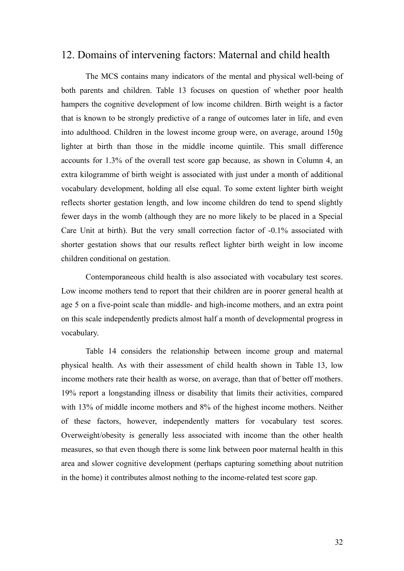## 12. Domains of intervening factors: Maternal and child health

The MCS contains many indicators of the mental and physical well-being of both parents and children. Table 13 focuses on question of whether poor health hampers the cognitive development of low income children. Birth weight is a factor that is known to be strongly predictive of a range of outcomes later in life, and even into adulthood. Children in the lowest income group were, on average, around 150g lighter at birth than those in the middle income quintile. This small difference accounts for 1.3% of the overall test score gap because, as shown in Column 4, an extra kilogramme of birth weight is associated with just under a month of additional vocabulary development, holding all else equal. To some extent lighter birth weight reflects shorter gestation length, and low income children do tend to spend slightly fewer days in the womb (although they are no more likely to be placed in a Special Care Unit at birth). But the very small correction factor of -0.1% associated with shorter gestation shows that our results reflect lighter birth weight in low income children conditional on gestation.

Contemporaneous child health is also associated with vocabulary test scores. Low income mothers tend to report that their children are in poorer general health at age 5 on a five-point scale than middle- and high-income mothers, and an extra point on this scale independently predicts almost half a month of developmental progress in vocabulary.

Table 14 considers the relationship between income group and maternal physical health. As with their assessment of child health shown in Table 13, low income mothers rate their health as worse, on average, than that of better off mothers. 19% report a longstanding illness or disability that limits their activities, compared with 13% of middle income mothers and 8% of the highest income mothers. Neither of these factors, however, independently matters for vocabulary test scores. Overweight/obesity is generally less associated with income than the other health measures, so that even though there is some link between poor maternal health in this area and slower cognitive development (perhaps capturing something about nutrition in the home) it contributes almost nothing to the income-related test score gap.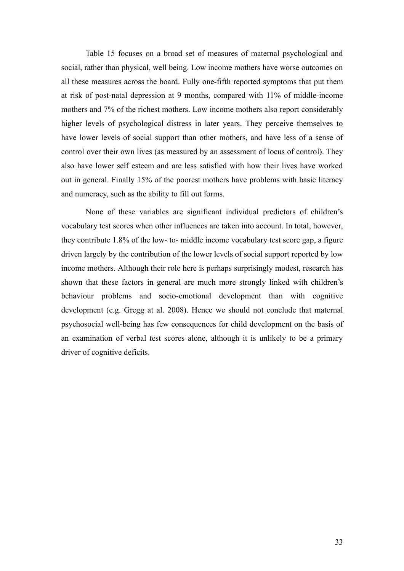Table 15 focuses on a broad set of measures of maternal psychological and social, rather than physical, well being. Low income mothers have worse outcomes on all these measures across the board. Fully one-fifth reported symptoms that put them at risk of post-natal depression at 9 months, compared with 11% of middle-income mothers and 7% of the richest mothers. Low income mothers also report considerably higher levels of psychological distress in later years. They perceive themselves to have lower levels of social support than other mothers, and have less of a sense of control over their own lives (as measured by an assessment of locus of control). They also have lower self esteem and are less satisfied with how their lives have worked out in general. Finally 15% of the poorest mothers have problems with basic literacy and numeracy, such as the ability to fill out forms.

None of these variables are significant individual predictors of children's vocabulary test scores when other influences are taken into account. In total, however, they contribute 1.8% of the low- to- middle income vocabulary test score gap, a figure driven largely by the contribution of the lower levels of social support reported by low income mothers. Although their role here is perhaps surprisingly modest, research has shown that these factors in general are much more strongly linked with children's behaviour problems and socio-emotional development than with cognitive development (e.g. Gregg at al. 2008). Hence we should not conclude that maternal psychosocial well-being has few consequences for child development on the basis of an examination of verbal test scores alone, although it is unlikely to be a primary driver of cognitive deficits.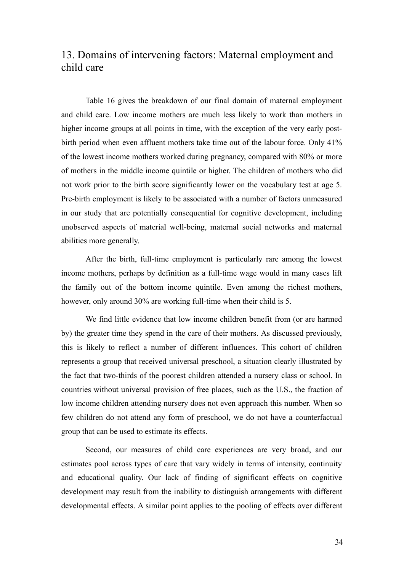# 13. Domains of intervening factors: Maternal employment and child care

Table 16 gives the breakdown of our final domain of maternal employment and child care. Low income mothers are much less likely to work than mothers in higher income groups at all points in time, with the exception of the very early postbirth period when even affluent mothers take time out of the labour force. Only 41% of the lowest income mothers worked during pregnancy, compared with 80% or more of mothers in the middle income quintile or higher. The children of mothers who did not work prior to the birth score significantly lower on the vocabulary test at age 5. Pre-birth employment is likely to be associated with a number of factors unmeasured in our study that are potentially consequential for cognitive development, including unobserved aspects of material well-being, maternal social networks and maternal abilities more generally.

After the birth, full-time employment is particularly rare among the lowest income mothers, perhaps by definition as a full-time wage would in many cases lift the family out of the bottom income quintile. Even among the richest mothers, however, only around 30% are working full-time when their child is 5.

We find little evidence that low income children benefit from (or are harmed by) the greater time they spend in the care of their mothers. As discussed previously, this is likely to reflect a number of different influences. This cohort of children represents a group that received universal preschool, a situation clearly illustrated by the fact that two-thirds of the poorest children attended a nursery class or school. In countries without universal provision of free places, such as the U.S., the fraction of low income children attending nursery does not even approach this number. When so few children do not attend any form of preschool, we do not have a counterfactual group that can be used to estimate its effects.

Second, our measures of child care experiences are very broad, and our estimates pool across types of care that vary widely in terms of intensity, continuity and educational quality. Our lack of finding of significant effects on cognitive development may result from the inability to distinguish arrangements with different developmental effects. A similar point applies to the pooling of effects over different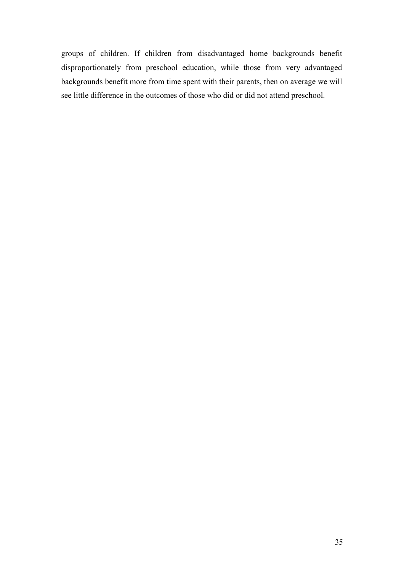groups of children. If children from disadvantaged home backgrounds benefit disproportionately from preschool education, while those from very advantaged backgrounds benefit more from time spent with their parents, then on average we will see little difference in the outcomes of those who did or did not attend preschool.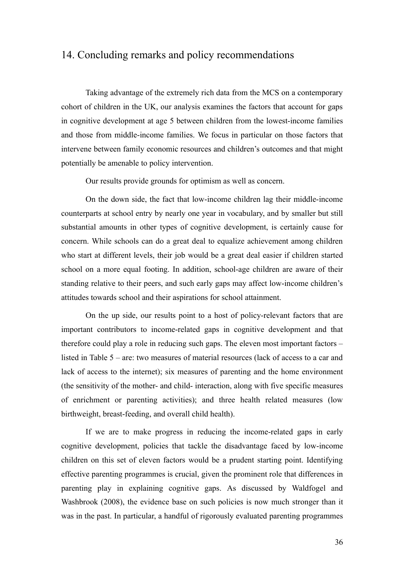# 14. Concluding remarks and policy recommendations

Taking advantage of the extremely rich data from the MCS on a contemporary cohort of children in the UK, our analysis examines the factors that account for gaps in cognitive development at age 5 between children from the lowest-income families and those from middle-income families. We focus in particular on those factors that intervene between family economic resources and children's outcomes and that might potentially be amenable to policy intervention.

Our results provide grounds for optimism as well as concern.

On the down side, the fact that low-income children lag their middle-income counterparts at school entry by nearly one year in vocabulary, and by smaller but still substantial amounts in other types of cognitive development, is certainly cause for concern. While schools can do a great deal to equalize achievement among children who start at different levels, their job would be a great deal easier if children started school on a more equal footing. In addition, school-age children are aware of their standing relative to their peers, and such early gaps may affect low-income children's attitudes towards school and their aspirations for school attainment.

On the up side, our results point to a host of policy-relevant factors that are important contributors to income-related gaps in cognitive development and that therefore could play a role in reducing such gaps. The eleven most important factors – listed in Table 5 – are: two measures of material resources (lack of access to a car and lack of access to the internet); six measures of parenting and the home environment (the sensitivity of the mother- and child- interaction, along with five specific measures of enrichment or parenting activities); and three health related measures (low birthweight, breast-feeding, and overall child health).

If we are to make progress in reducing the income-related gaps in early cognitive development, policies that tackle the disadvantage faced by low-income children on this set of eleven factors would be a prudent starting point. Identifying effective parenting programmes is crucial, given the prominent role that differences in parenting play in explaining cognitive gaps. As discussed by Waldfogel and Washbrook (2008), the evidence base on such policies is now much stronger than it was in the past. In particular, a handful of rigorously evaluated parenting programmes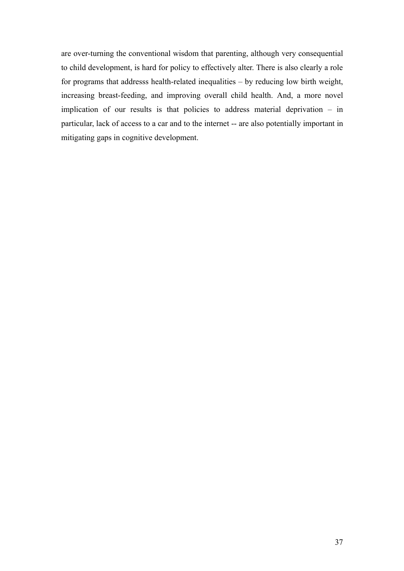are over-turning the conventional wisdom that parenting, although very consequential to child development, is hard for policy to effectively alter. There is also clearly a role for programs that addresss health-related inequalities – by reducing low birth weight, increasing breast-feeding, and improving overall child health. And, a more novel implication of our results is that policies to address material deprivation – in particular, lack of access to a car and to the internet -- are also potentially important in mitigating gaps in cognitive development.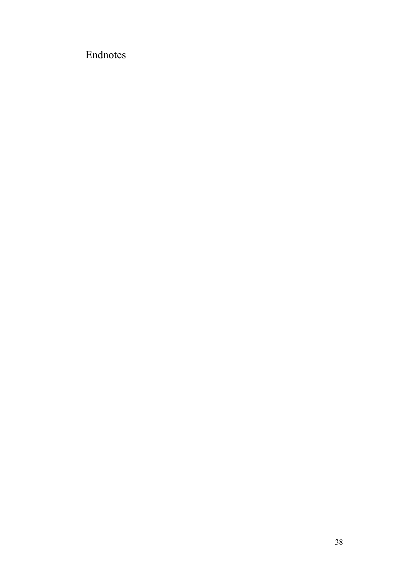# Endnotes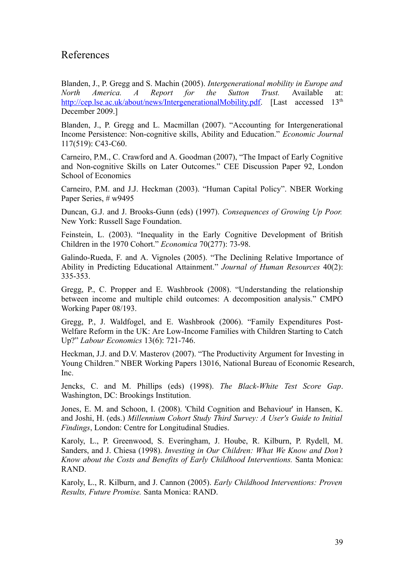# References

Blanden, J., P. Gregg and S. Machin (2005). *Intergenerational mobility in Europe and North America. A Report for the Sutton Trust.* Available at: [http://cep.lse.ac.uk/about/news/IntergenerationalMobility.pdf.](http://cep.lse.ac.uk/about/news/IntergenerationalMobility.pdf) [Last accessed 13<sup>th</sup> December 2009.]

Blanden, J., P. Gregg and L. Macmillan (2007). "Accounting for Intergenerational Income Persistence: Non-cognitive skills, Ability and Education." *Economic Journal* 117(519): C43-C60.

Carneiro, P.M., C. Crawford and A. Goodman (2007), "The Impact of Early Cognitive and Non-cognitive Skills on Later Outcomes." CEE Discussion Paper 92, London School of Economics

Carneiro, P.M. and J.J. Heckman (2003). "Human Capital Policy". NBER Working Paper Series, # w9495

Duncan, G.J. and J. Brooks-Gunn (eds) (1997). *Consequences of Growing Up Poor.* New York: Russell Sage Foundation.

Feinstein, L. (2003). "Inequality in the Early Cognitive Development of British Children in the 1970 Cohort." *Economica* 70(277): 73-98.

Galindo-Rueda, F. and A. Vignoles (2005). "The Declining Relative Importance of Ability in Predicting Educational Attainment." *Journal of Human Resources* 40(2): 335-353.

Gregg, P., C. Propper and E. Washbrook (2008). "Understanding the relationship between income and multiple child outcomes: A decomposition analysis." CMPO Working Paper 08/193.

Gregg, P., J. Waldfogel, and E. Washbrook (2006). "Family Expenditures Post-Welfare Reform in the UK: Are Low-Income Families with Children Starting to Catch Up?" *Labour Economics* 13(6): 721-746.

Heckman, J.J. and D.V. Masterov (2007). "The Productivity Argument for Investing in Young Children." NBER Working Papers 13016, National Bureau of Economic Research, Inc.

Jencks, C. and M. Phillips (eds) (1998). *The Black-White Test Score Gap*. Washington, DC: Brookings Institution.

Jones, E. M. and Schoon, I. (2008). 'Child Cognition and Behaviour' in Hansen, K. and Joshi, H. (eds.) *Millennium Cohort Study Third Survey: A User's Guide to Initial Findings*, London: Centre for Longitudinal Studies.

Karoly, L., P. Greenwood, S. Everingham, J. Hoube, R. Kilburn, P. Rydell, M. Sanders, and J. Chiesa (1998). *Investing in Our Children: What We Know and Don't Know about the Costs and Benefits of Early Childhood Interventions.* Santa Monica: RAND.

Karoly, L., R. Kilburn, and J. Cannon (2005). *Early Childhood Interventions: Proven Results, Future Promise.* Santa Monica: RAND.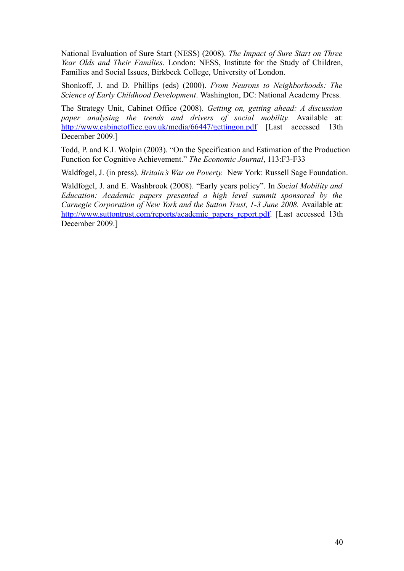National Evaluation of Sure Start (NESS) (2008). *The Impact of Sure Start on Three Year Olds and Their Families*. London: NESS, Institute for the Study of Children, Families and Social Issues, Birkbeck College, University of London.

Shonkoff, J. and D. Phillips (eds) (2000). *From Neurons to Neighborhoods: The Science of Early Childhood Development*. Washington, DC: National Academy Press.

The Strategy Unit, Cabinet Office (2008). *Getting on, getting ahead: A discussion paper analysing the trends and drivers of social mobility.* Available at: <http://www.cabinetoffice.gov.uk/media/66447/gettingon.pdf> [Last accessed 13th December 2009.]

Todd, P. and K.I. Wolpin (2003). "On the Specification and Estimation of the Production Function for Cognitive Achievement." *The Economic Journal*, 113:F3-F33

Waldfogel, J. (in press). *Britain's War on Poverty.* New York: Russell Sage Foundation.

Waldfogel, J. and E. Washbrook (2008). "Early years policy". In *Social Mobility and Education: Academic papers presented a high level summit sponsored by the Carnegie Corporation of New York and the Sutton Trust, 1-3 June 2008.* Available at: [http://www.suttontrust.com/reports/academic\\_papers\\_report.pdf.](http://www.suttontrust.com/reports/academic_papers_report.pdf) [Last accessed 13th December 2009.]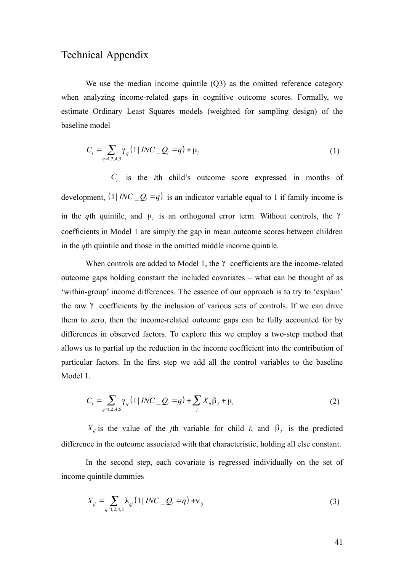# Technical Appendix

We use the median income quintile (Q3) as the omitted reference category when analyzing income-related gaps in cognitive outcome scores. Formally, we estimate Ordinary Least Squares models (weighted for sampling design) of the baseline model

$$
C_i = \sum_{q=1,2,4,5} \gamma_q (1 | \text{INC}_Q = q) + \mu_i
$$
 (1)

 $C_i$  is the *i*th child's outcome score expressed in months of development,  $(1 | INC \tQ<sub>i</sub> = q)$  is an indicator variable equal to 1 if family income is in the *q*th quintile, and  $\mu_i$  is an orthogonal error term. Without controls, the  $\gamma$ coefficients in Model 1 are simply the gap in mean outcome scores between children in the *q*th quintile and those in the omitted middle income quintile.

When controls are added to Model 1, the γ coefficients are the income-related outcome gaps holding constant the included covariates – what can be thought of as 'within-group' income differences. The essence of our approach is to try to 'explain' the raw γ coefficients by the inclusion of various sets of controls. If we can drive them to zero, then the income-related outcome gaps can be fully accounted for by differences in observed factors. To explore this we employ a two-step method that allows us to partial up the reduction in the income coefficient into the contribution of particular factors. In the first step we add all the control variables to the baseline Model 1.

$$
C_i = \sum_{q=1,2,4,5} \gamma_q (1 | \text{INC}_Q_i = q) + \sum_j X_{ij} \beta_j + \mu_i
$$
 (2)

*X*<sub>*ij*</sub> is the value of the *j*th variable for child *i*, and β<sub>*j*</sub> is the predicted difference in the outcome associated with that characteristic, holding all else constant.

In the second step, each covariate is regressed individually on the set of income quintile dummies

$$
X_{ij} = \sum_{q=1,2,4,5} \lambda_{qj} (1 | \text{INC}_Q = q) + v_{ij}
$$
 (3)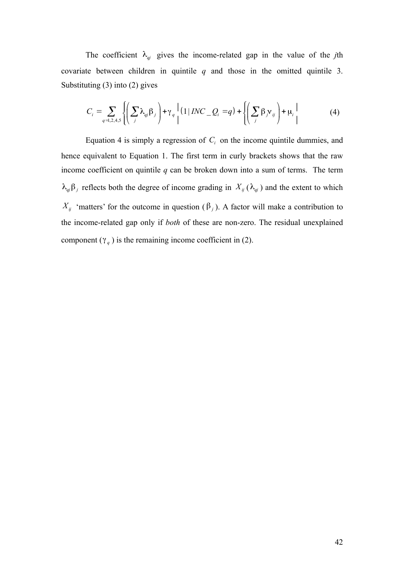The coefficient  $\lambda_{qi}$  gives the income-related gap in the value of the *j*th covariate between children in quintile *q* and those in the omitted quintile 3. Substituting (3) into (2) gives

$$
C_i = \sum_{q=1,2,4,5} \left\{ \left( \sum_j \lambda_{qj} \beta_j \right) + \gamma_q \left[ (1 \mid INC - Q_i = q) + \left\{ \left( \sum_j \beta_j v_{ij} \right) + \mu_i \right\} \right] \right\}
$$
(4)

Equation 4 is simply a regression of  $C_i$  on the income quintile dummies, and hence equivalent to Equation 1. The first term in curly brackets shows that the raw income coefficient on quintile  $q$  can be broken down into a sum of terms. The term  $λ_{\varphi}β_j$  reflects both the degree of income grading in  $X_{ij} (λ_{\varphi} )$  and the extent to which *X<sub>ij</sub>* 'matters' for the outcome in question ( $\beta$ <sub>*j*</sub>). A factor will make a contribution to the income-related gap only if *both* of these are non-zero. The residual unexplained component  $(\gamma_q)$  is the remaining income coefficient in (2).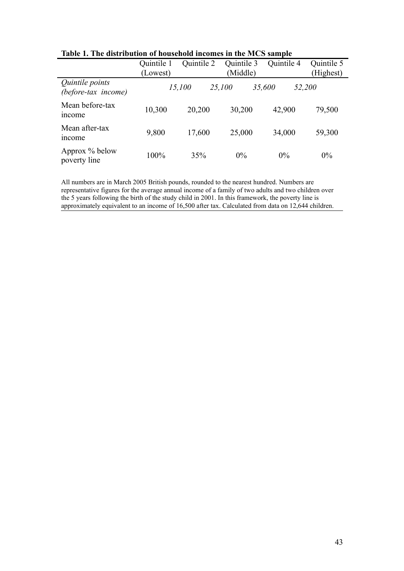|                                        |            |            | ora mitomito m the 11100 sample |            |            |
|----------------------------------------|------------|------------|---------------------------------|------------|------------|
|                                        | Quintile 1 | Quintile 2 | Quintile 3                      | Quintile 4 | Quintile 5 |
|                                        | (Lowest)   |            | (Middle)                        |            | (Highest)  |
| Quintile points<br>(before-tax income) |            | 15,100     | 25,100                          | 35,600     | 52,200     |
| Mean before-tax<br><i>ncome</i>        | 10,300     | 20,200     | 30,200                          | 42,900     | 79,500     |
| Mean after-tax<br><i>ncome</i>         | 9,800      | 17,600     | 25,000                          | 34,000     | 59,300     |
| Approx % below<br>poverty line         | 100%       | 35%        | $0\%$                           | $0\%$      | 0%         |

**Table 1. The distribution of household incomes in the MCS sample**

All numbers are in March 2005 British pounds, rounded to the nearest hundred. Numbers are representative figures for the average annual income of a family of two adults and two children over the 5 years following the birth of the study child in 2001. In this framework, the poverty line is approximately equivalent to an income of 16,500 after tax. Calculated from data on 12,644 children.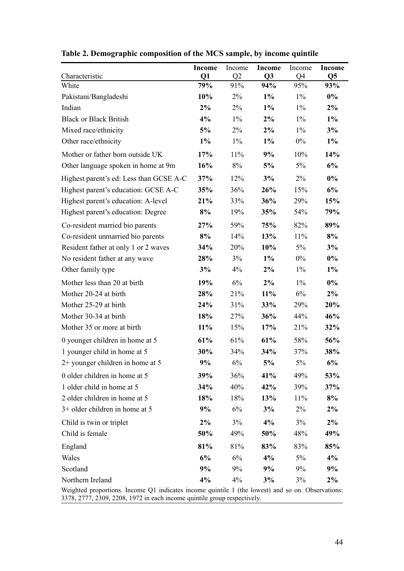|                                         | <b>Income</b> | Income    | <b>Income</b>         | Income                | <b>Income</b>         |
|-----------------------------------------|---------------|-----------|-----------------------|-----------------------|-----------------------|
| Characteristic<br>White                 | Q1<br>79%     | Q2<br>91% | Q <sub>3</sub><br>94% | Q <sub>4</sub><br>95% | Q <sub>5</sub><br>93% |
| Pakistani/Bangladeshi                   | 10%           | $2\%$     | $1\%$                 | $1\%$                 | $0\%$                 |
| Indian                                  | $2\%$         | 2%        | $1\%$                 | $1\%$                 | 2%                    |
| <b>Black or Black British</b>           | 4%            | $1\%$     | 2%                    | $1\%$                 | $1\%$                 |
| Mixed race/ethnicity                    | 5%            | $2\%$     | 2%                    | $1\%$                 | 3%                    |
| Other race/ethnicity                    | $1\%$         | $1\%$     | $1\%$                 | $0\%$                 | $1\%$                 |
| Mother or father born outside UK        | 17%           | 11%       | 9%                    | 10%                   | 14%                   |
| Other language spoken in home at 9m     | 16%           | 8%        | 5%                    | 5%                    | 6%                    |
| Highest parent's ed: Less than GCSE A-C | 37%           | 12%       | 3%                    | $2\%$                 | $0\%$                 |
| Highest parent's education: GCSE A-C    | 35%           | 36%       | 26%                   | 15%                   | 6%                    |
| Highest parent's education: A-level     | 21%           | 33%       | 36%                   | 29%                   | 15%                   |
| Highest parent's education: Degree      | 8%            | 19%       | 35%                   | 54%                   | 79%                   |
| Co-resident married bio parents         | 27%           | 59%       | 75%                   | 82%                   | 89%                   |
| Co-resident unmarried bio parents       | 8%            | 14%       | 13%                   | 11%                   | 8%                    |
| Resident father at only 1 or 2 waves    | 34%           | 20%       | 10%                   | 5%                    | 3%                    |
| No resident father at any wave          | 28%           | 3%        | $1\%$                 | $0\%$                 | $0\%$                 |
| Other family type                       | 3%            | 4%        | $2\%$                 | $1\%$                 | $1\%$                 |
| Mother less than 20 at birth            | 19%           | 6%        | 2%                    | $1\%$                 | $0\%$                 |
| Mother 20-24 at birth                   | 28%           | 21%       | $11\%$                | $6\%$                 | 2%                    |
| Mother 25-29 at birth                   | 24%           | 31%       | 33%                   | 29%                   | 20%                   |
| Mother 30-34 at birth                   | 18%           | 27%       | 36%                   | 44%                   | 46%                   |
| Mother 35 or more at birth              | 11%           | 15%       | 17%                   | 21%                   | 32%                   |
| 0 younger children in home at 5         | 61%           | 61%       | 61%                   | 58%                   | 56%                   |
| 1 younger child in home at 5            | 30%           | 34%       | 34%                   | 37%                   | 38%                   |
| 2+ younger children in home at 5        | 9%            | 6%        | 5%                    | $5\%$                 | 6%                    |
| 0 older children in home at 5           | 39%           | 36%       | 41%                   | 49%                   | 53%                   |
| 1 older child in home at 5              | 34%           | 40%       | 42%                   | 39%                   | 37%                   |
| 2 older children in home at 5           | 18%           | 18%       | 13%                   | 11%                   | 8%                    |
| 3+ older children in home at 5          | 9%            | 6%        | 3%                    | 2%                    | $2\%$                 |
| Child is twin or triplet                | $2\%$         | 3%        | 4%                    | 3%                    | $2\%$                 |
| Child is female                         | 50%           | 49%       | 50%                   | 48%                   | 49%                   |
| England                                 | 81%           | 81%       | 83%                   | 83%                   | 85%                   |
| Wales                                   | 6%            | 6%        | 4%                    | 5%                    | 4%                    |
| Scotland                                | 9%            | 9%        | 9%                    | 9%                    | 9%                    |
| Northern Ireland                        | 4%            | 4%        | 3%                    | 3%                    | $2\%$                 |

|  | Table 2. Demographic composition of the MCS sample, by income quintile |  |  |  |  |  |
|--|------------------------------------------------------------------------|--|--|--|--|--|
|--|------------------------------------------------------------------------|--|--|--|--|--|

Weighted proportions. Income Q1 indicates income quintile 1 (the lowest) and so on. Observations: 3378, 2777, 2309, 2208, 1972 in each income quintile group respectively.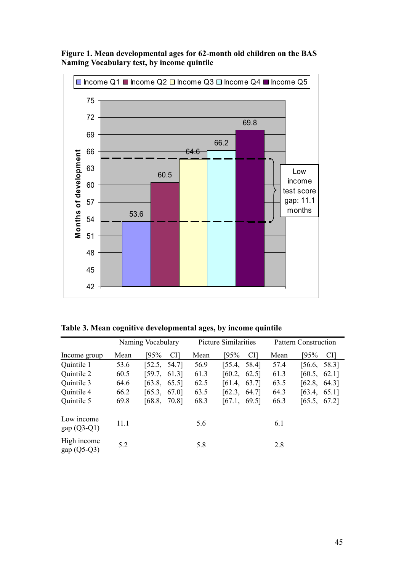

**Figure 1. Mean developmental ages for 62-month old children on the BAS Naming Vocabulary test, by income quintile**

| Table 3. Mean cognitive developmental ages, by income quintile |  |  |  |
|----------------------------------------------------------------|--|--|--|
|                                                                |  |  |  |

|                              |      | Naming Vocabulary |      | Picture Similarities |      | <b>Pattern Construction</b> |
|------------------------------|------|-------------------|------|----------------------|------|-----------------------------|
| Income group                 | Mean | 195%<br>CI]       | Mean | [95%<br>CI]          | Mean | 195%<br>CI]                 |
| Quintile 1                   | 53.6 | [52.5, 54.7]      | 56.9 | [55.4, 58.4]         | 57.4 | [56.6, 58.3]                |
| Quintile 2                   | 60.5 | [59.7, 61.3]      | 61.3 | [60.2, 62.5]         | 61.3 | [60.5, 62.1]                |
| Quintile 3                   | 64.6 | [63.8, 65.5]      | 62.5 | [61.4, 63.7]         | 63.5 | [62.8, 64.3]                |
| Quintile 4                   | 66.2 | [65.3,<br>67.0]   | 63.5 | [62.3,<br>64.7]      | 64.3 | [63.4,<br>65.1]             |
| Quintile 5                   | 69.8 | [68.8,<br>70.81   | 68.3 | [67.1,<br>69.5]      | 66.3 | [65.5, 67.2]                |
| Low income<br>$gap(Q3-Q1)$   | 11.1 |                   | 5.6  |                      | 6.1  |                             |
| High income<br>gap $(Q5-Q3)$ | 5.2  |                   | 5.8  |                      | 2.8  |                             |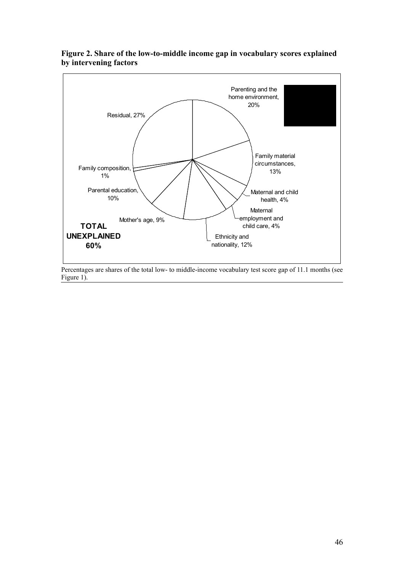

#### **Figure 2. Share of the low-to-middle income gap in vocabulary scores explained by intervening factors**

Percentages are shares of the total low- to middle-income vocabulary test score gap of 11.1 months (see Figure 1).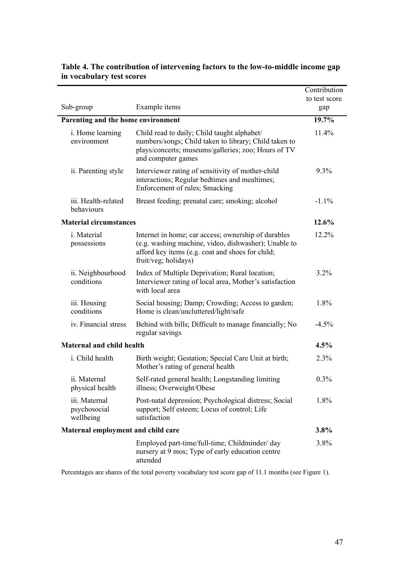|                                            |                                                                                                                                                                                         | Contribution         |
|--------------------------------------------|-----------------------------------------------------------------------------------------------------------------------------------------------------------------------------------------|----------------------|
| Sub-group                                  | Example items                                                                                                                                                                           | to test score<br>gap |
| Parenting and the home environment         |                                                                                                                                                                                         | 19.7%                |
| i. Home learning<br>environment            | Child read to daily; Child taught alphabet/<br>numbers/songs; Child taken to library; Child taken to<br>plays/concerts; museums/galleries; zoo; Hours of TV<br>and computer games       | 11.4%                |
| ii. Parenting style                        | Interviewer rating of sensitivity of mother-child<br>interactions; Regular bedtimes and mealtimes;<br>Enforcement of rules; Smacking                                                    | 9.3%                 |
| iii. Health-related<br>behaviours          | Breast feeding; prenatal care; smoking; alcohol                                                                                                                                         | $-1.1\%$             |
| <b>Material circumstances</b>              |                                                                                                                                                                                         | 12.6%                |
| i. Material<br>possessions                 | Internet in home; car access; ownership of durables<br>(e.g. washing machine, video, dishwasher); Unable to<br>afford key items (e.g. coat and shoes for child;<br>fruit/veg; holidays) | 12.2%                |
| ii. Neighbourhood<br>conditions            | Index of Multiple Deprivation; Rural location;<br>Interviewer rating of local area, Mother's satisfaction<br>with local area                                                            | 3.2%                 |
| iii. Housing<br>conditions                 | Social housing; Damp; Crowding; Access to garden;<br>Home is clean/uncluttered/light/safe                                                                                               | 1.8%                 |
| iv. Financial stress                       | Behind with bills; Difficult to manage financially; No<br>regular savings                                                                                                               | $-4.5%$              |
| <b>Maternal and child health</b>           |                                                                                                                                                                                         | 4.5%                 |
| i. Child health                            | Birth weight; Gestation; Special Care Unit at birth;<br>Mother's rating of general health                                                                                               | 2.3%                 |
| ii. Maternal<br>physical health            | Self-rated general health; Longstanding limiting<br>illness; Overweight/Obese                                                                                                           | 0.3%                 |
| iii. Maternal<br>psychosocial<br>wellbeing | Post-natal depression; Psychological distress; Social<br>support; Self esteem; Locus of control; Life<br>satisfaction                                                                   | 1.8%                 |
| Maternal employment and child care         |                                                                                                                                                                                         | 3.8%                 |
|                                            | Employed part-time/full-time; Childminder/ day<br>nursery at 9 mos; Type of early education centre<br>attended                                                                          | 3.8%                 |

#### **Table 4. The contribution of intervening factors to the low-to-middle income gap in vocabulary test scores**

Percentages are shares of the total poverty vocabulary test score gap of 11.1 months (see Figure 1).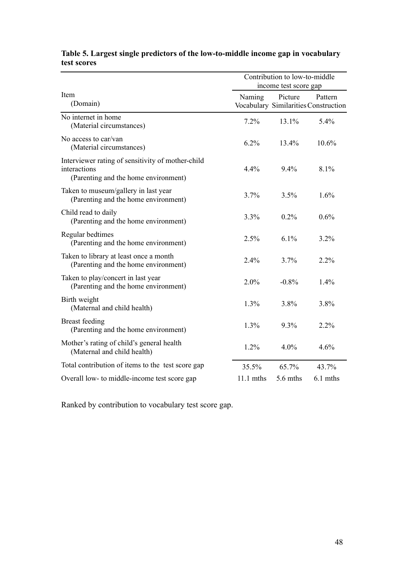|                                                                                                           | Contribution to low-to-middle<br>income test score gap |            |                                                 |  |  |
|-----------------------------------------------------------------------------------------------------------|--------------------------------------------------------|------------|-------------------------------------------------|--|--|
| Item<br>(Domain)                                                                                          | Naming                                                 | Picture    | Pattern<br>Vocabulary Similarities Construction |  |  |
| No internet in home<br>(Material circumstances)                                                           | 7.2%                                                   | 13.1%      | 5.4%                                            |  |  |
| No access to car/van<br>(Material circumstances)                                                          | 6.2%                                                   | 13.4%      | 10.6%                                           |  |  |
| Interviewer rating of sensitivity of mother-child<br>interactions<br>(Parenting and the home environment) | 4.4%                                                   | 9.4%       | 8.1%                                            |  |  |
| Taken to museum/gallery in last year<br>(Parenting and the home environment)                              | 3.7%                                                   | 3.5%       | 1.6%                                            |  |  |
| Child read to daily<br>(Parenting and the home environment)                                               | 3.3%                                                   | 0.2%       | 0.6%                                            |  |  |
| Regular bedtimes<br>(Parenting and the home environment)                                                  | 2.5%                                                   | 6.1%       | 3.2%                                            |  |  |
| Taken to library at least once a month<br>(Parenting and the home environment)                            | 2.4%                                                   | 3.7%       | $2.2\%$                                         |  |  |
| Taken to play/concert in last year<br>(Parenting and the home environment)                                | 2.0%                                                   | $-0.8%$    | 1.4%                                            |  |  |
| Birth weight<br>(Maternal and child health)                                                               | 1.3%                                                   | 3.8%       | 3.8%                                            |  |  |
| <b>Breast</b> feeding<br>(Parenting and the home environment)                                             | 1.3%                                                   | 9.3%       | 2.2%                                            |  |  |
| Mother's rating of child's general health<br>(Maternal and child health)                                  | 1.2%                                                   | 4.0%       | 4.6%                                            |  |  |
| Total contribution of items to the test score gap                                                         | 35.5%                                                  | 65.7%      | 43.7%                                           |  |  |
| Overall low- to middle-income test score gap                                                              | $11.1$ mths                                            | $5.6$ mths | 6.1 mths                                        |  |  |

#### **Table 5. Largest single predictors of the low-to-middle income gap in vocabulary test scores**

Ranked by contribution to vocabulary test score gap.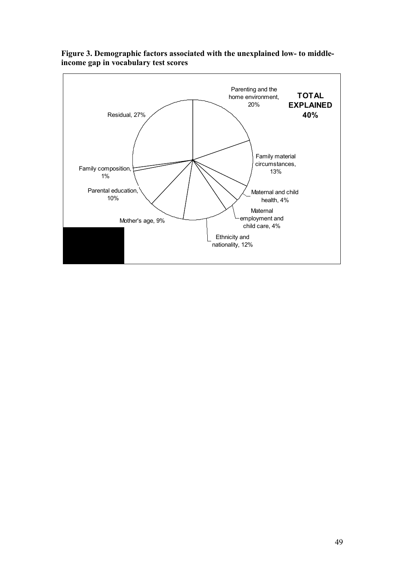

**Figure 3. Demographic factors associated with the unexplained low- to middleincome gap in vocabulary test scores**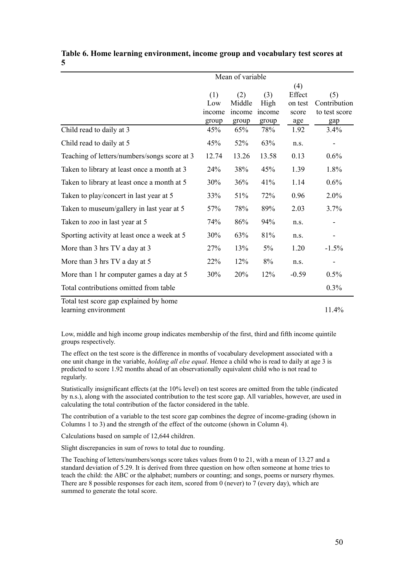|                                              | Mean of variable                    |                                  |                                |                                          |                                             |  |
|----------------------------------------------|-------------------------------------|----------------------------------|--------------------------------|------------------------------------------|---------------------------------------------|--|
|                                              | (1)<br>Low<br><i>ncome</i><br>group | (2)<br>Middle<br>income<br>group | (3)<br>High<br>income<br>group | (4)<br>Effect<br>on test<br>score<br>age | (5)<br>Contribution<br>to test score<br>gap |  |
| Child read to daily at 3                     | 45%                                 | 65%                              | 78%                            | 1.92                                     | 3.4%                                        |  |
| Child read to daily at 5                     | 45%                                 | 52%                              | 63%                            | n.s.                                     |                                             |  |
| Teaching of letters/numbers/songs score at 3 | 12.74                               | 13.26                            | 13.58                          | 0.13                                     | 0.6%                                        |  |
| Taken to library at least once a month at 3  | 24%                                 | 38%                              | 45%                            | 1.39                                     | 1.8%                                        |  |
| Taken to library at least once a month at 5  | 30%                                 | 36%                              | 41%                            | 1.14                                     | 0.6%                                        |  |
| Taken to play/concert in last year at 5      | 33%                                 | 51%                              | 72%                            | 0.96                                     | 2.0%                                        |  |
| Taken to museum/gallery in last year at 5    | 57%                                 | 78%                              | 89%                            | 2.03                                     | 3.7%                                        |  |
| Taken to zoo in last year at 5               | 74%                                 | 86%                              | 94%                            | n.s.                                     |                                             |  |
| Sporting activity at least once a week at 5  | 30%                                 | 63%                              | 81%                            | n.s.                                     |                                             |  |
| More than 3 hrs TV a day at 3                | 27%                                 | 13%                              | 5%                             | 1.20                                     | $-1.5%$                                     |  |
| More than 3 hrs TV a day at 5                | 22%                                 | 12%                              | 8%                             | n.s.                                     |                                             |  |
| More than 1 hr computer games a day at 5     | 30%                                 | 20%                              | 12%                            | $-0.59$                                  | 0.5%                                        |  |
| Total contributions omitted from table       |                                     |                                  |                                |                                          | 0.3%                                        |  |
| Total test score gap explained by home       |                                     |                                  |                                |                                          |                                             |  |

**Table 6. Home learning environment, income group and vocabulary test scores at 5**

learning environment 11.4%

Low, middle and high income group indicates membership of the first, third and fifth income quintile groups respectively.

The effect on the test score is the difference in months of vocabulary development associated with a one unit change in the variable, *holding all else equal*. Hence a child who is read to daily at age 3 is predicted to score 1.92 months ahead of an observationally equivalent child who is not read to regularly.

Statistically insignificant effects (at the 10% level) on test scores are omitted from the table (indicated by n.s.), along with the associated contribution to the test score gap. All variables, however, are used in calculating the total contribution of the factor considered in the table.

The contribution of a variable to the test score gap combines the degree of income-grading (shown in Columns 1 to 3) and the strength of the effect of the outcome (shown in Column 4).

Calculations based on sample of 12,644 children.

Slight discrepancies in sum of rows to total due to rounding.

The Teaching of letters/numbers/songs score takes values from 0 to 21, with a mean of 13.27 and a standard deviation of 5.29. It is derived from three question on how often someone at home tries to teach the child: the ABC or the alphabet; numbers or counting; and songs, poems or nursery rhymes. There are 8 possible responses for each item, scored from 0 (never) to 7 (every day), which are summed to generate the total score.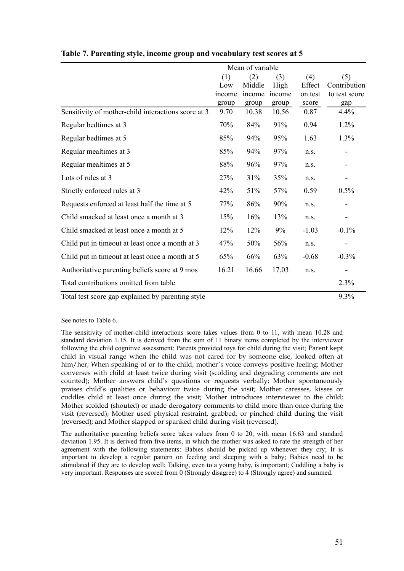|                                                     |        | Mean of variable |        |         |               |
|-----------------------------------------------------|--------|------------------|--------|---------|---------------|
|                                                     | (1)    | (2)              | (3)    | (4)     | (5)           |
|                                                     | Low    | Middle           | High   | Effect  | Contribution  |
|                                                     | income | income           | income | on test | to test score |
|                                                     | group  | group            | group  | score   | gap           |
| Sensitivity of mother-child interactions score at 3 | 9.70   | 10.38            | 10.56  | 0.87    | 4.4%          |
| Regular bedtimes at 3                               | 70%    | 84%              | 91%    | 0.94    | 1.2%          |
| Regular bedtimes at 5                               | 85%    | 94%              | 95%    | 1.63    | 1.3%          |
| Regular mealtimes at 3                              | 85%    | 94%              | 97%    | n.s.    |               |
| Regular mealtimes at 5                              | 88%    | 96%              | 97%    | n.s.    |               |
| Lots of rules at 3                                  | 27%    | 31%              | 35%    | n.s.    |               |
| Strictly enforced rules at 3                        | 42%    | 51%              | 57%    | 0.59    | 0.5%          |
| Requests enforced at least half the time at 5       | 77%    | 86%              | 90%    | n.s.    |               |
| Child smacked at least once a month at 3            | 15%    | 16%              | 13%    | n.s.    |               |
| Child smacked at least once a month at 5            | 12%    | 12%              | 9%     | $-1.03$ | $-0.1\%$      |
| Child put in timeout at least once a month at 3     | 47%    | 50%              | 56%    | n.s.    |               |
| Child put in timeout at least once a month at 5     | 65%    | 66%              | 63%    | $-0.68$ | $-0.3%$       |
| Authoritative parenting beliefs score at 9 mos      | 16.21  | 16.66            | 17.03  | n.s.    |               |
| Total contributions omitted from table              |        |                  |        |         | 2.3%          |
| Total test score gap explained by parenting style   |        |                  |        |         | 9.3%          |

**Table 7. Parenting style, income group and vocabulary test scores at 5**

See notes to Table 6.

The sensitivity of mother-child interactions score takes values from 0 to 11, with mean 10.28 and standard deviation 1.15. It is derived from the sum of 11 binary items completed by the interviewer following the child cognitive assessment: Parents provided toys for child during the visit; Parent kept child in visual range when the child was not cared for by someone else, looked often at him/her; When speaking of or to the child, mother's voice conveys positive feeling; Mother converses with child at least twice during visit (scolding and degrading comments are not counted); Mother answers child's questions or requests verbally; Mother spontaneously praises child's qualities or behaviour twice during the visit; Mother caresses, kisses or cuddles child at least once during the visit; Mother introduces interviewer to the child; Mother scolded (shouted) or made derogatory comments to child more than once during the visit (reversed); Mother used physical restraint, grabbed, or pinched child during the visit (reversed); and Mother slapped or spanked child during visit (reversed).

The authoritative parenting beliefs score takes values from 0 to 20, with mean 16.63 and standard deviation 1.95. It is derived from five items, in which the mother was asked to rate the strength of her agreement with the following statements: Babies should be picked up whenever they cry; It is important to develop a regular pattern on feeding and sleeping with a baby; Babies need to be stimulated if they are to develop well; Talking, even to a young baby, is important; Cuddling a baby is very important. Responses are scored from 0 (Strongly disagree) to 4 (Strongly agree) and summed.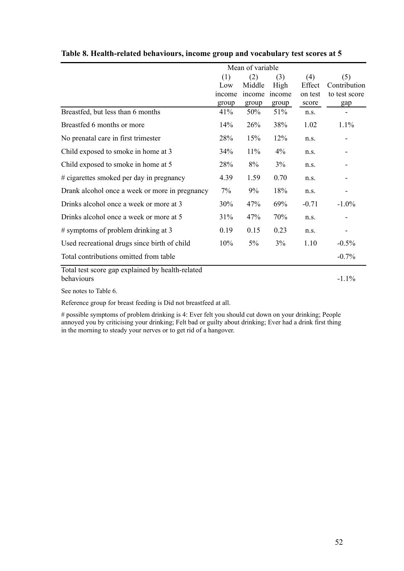|                                                  | Mean of variable |        |        |         |               |
|--------------------------------------------------|------------------|--------|--------|---------|---------------|
|                                                  | (1)              | (2)    | (3)    | (4)     | (5)           |
|                                                  | Low              | Middle | High   | Effect  | Contribution  |
|                                                  | income           | income | income | on test | to test score |
|                                                  | group            | group  | group  | score   | gap           |
| Breastfed, but less than 6 months                | 41%              | 50%    | 51%    | n.s.    |               |
| Breastfed 6 months or more                       | 14%              | 26%    | 38%    | 1.02    | 1.1%          |
| No prenatal care in first trimester              | 28%              | 15%    | 12%    | n.s.    |               |
| Child exposed to smoke in home at 3              | 34%              | 11%    | $4\%$  | n.s.    |               |
| Child exposed to smoke in home at 5              | 28%              | $8\%$  | 3%     | n.s.    |               |
| # cigarettes smoked per day in pregnancy         | 4.39             | 1.59   | 0.70   | n.s.    |               |
| Drank alcohol once a week or more in pregnancy   | 7%               | 9%     | 18%    | n.s.    |               |
| Drinks alcohol once a week or more at 3          | 30%              | 47%    | 69%    | $-0.71$ | $-1.0\%$      |
| Drinks alcohol once a week or more at 5          | 31%              | 47%    | 70%    | n.s.    |               |
| $#$ symptoms of problem drinking at 3            | 0.19             | 0.15   | 0.23   | n.S.    |               |
| Used recreational drugs since birth of child     | 10%              | 5%     | 3%     | 1.10    | $-0.5%$       |
| Total contributions omitted from table           |                  |        |        |         | $-0.7%$       |
| Total test score gap explained by health-related |                  |        |        |         |               |
| behaviours                                       |                  |        |        |         | $-1.1%$       |

**Table 8. Health-related behaviours, income group and vocabulary test scores at 5**

See notes to Table 6.

Reference group for breast feeding is Did not breastfeed at all.

# possible symptoms of problem drinking is 4: Ever felt you should cut down on your drinking; People annoyed you by criticising your drinking; Felt bad or guilty about drinking; Ever had a drink first thing in the morning to steady your nerves or to get rid of a hangover.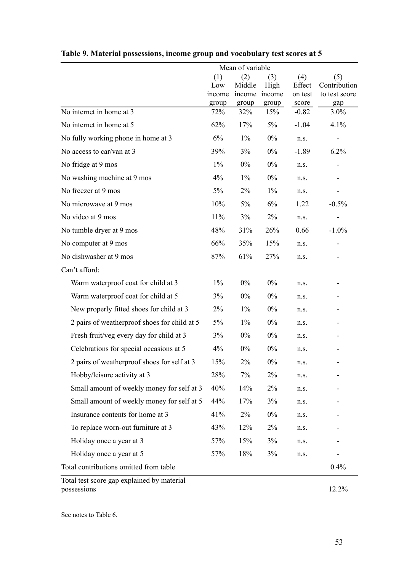|                                              | Mean of variable              |                        |                                       |                                   |                                             |
|----------------------------------------------|-------------------------------|------------------------|---------------------------------------|-----------------------------------|---------------------------------------------|
|                                              | (1)<br>Low<br>income<br>group | (2)<br>Middle<br>group | (3)<br>High<br>income income<br>group | (4)<br>Effect<br>on test<br>score | (5)<br>Contribution<br>to test score<br>gap |
| No internet in home at 3                     | 72%                           | 32%                    | 15%                                   | $-0.82$                           | 3.0%                                        |
| No internet in home at 5                     | 62%                           | 17%                    | 5%                                    | $-1.04$                           | 4.1%                                        |
| No fully working phone in home at 3          | 6%                            | $1\%$                  | $0\%$                                 | n.s.                              |                                             |
| No access to car/van at 3                    | 39%                           | 3%                     | $0\%$                                 | $-1.89$                           | 6.2%                                        |
| No fridge at 9 mos                           | $1\%$                         | $0\%$                  | $0\%$                                 | n.s.                              |                                             |
| No washing machine at 9 mos                  | 4%                            | $1\%$                  | $0\%$                                 | n.s.                              |                                             |
| No freezer at 9 mos                          | 5%                            | $2\%$                  | $1\%$                                 | n.s.                              |                                             |
| No microwave at 9 mos                        | 10%                           | 5%                     | 6%                                    | 1.22                              | $-0.5%$                                     |
| No video at 9 mos                            | 11%                           | 3%                     | 2%                                    | n.s.                              | -                                           |
| No tumble dryer at 9 mos                     | 48%                           | 31%                    | 26%                                   | 0.66                              | $-1.0\%$                                    |
| No computer at 9 mos                         | 66%                           | 35%                    | 15%                                   | n.s.                              |                                             |
| No dishwasher at 9 mos                       | 87%                           | 61%                    | 27%                                   | n.s.                              |                                             |
| Can't afford:                                |                               |                        |                                       |                                   |                                             |
| Warm waterproof coat for child at 3          | $1\%$                         | $0\%$                  | $0\%$                                 | n.s.                              |                                             |
| Warm waterproof coat for child at 5          | 3%                            | $0\%$                  | $0\%$                                 | n.s.                              |                                             |
| New properly fitted shoes for child at 3     | 2%                            | $1\%$                  | $0\%$                                 | n.s.                              |                                             |
| 2 pairs of weatherproof shoes for child at 5 | $5\%$                         | $1\%$                  | $0\%$                                 | n.s.                              |                                             |
| Fresh fruit/veg every day for child at 3     | 3%                            | $0\%$                  | $0\%$                                 | n.s.                              |                                             |
| Celebrations for special occasions at 5      | $4\%$                         | $0\%$                  | $0\%$                                 | n.s.                              |                                             |
| 2 pairs of weatherproof shoes for self at 3  | 15%                           | 2%                     | $0\%$                                 | n.s.                              |                                             |
| Hobby/leisure activity at 3                  | 28%                           | 7%                     | 2%                                    | n.s.                              |                                             |
| Small amount of weekly money for self at 3   | 40%                           | 14%                    | $2\%$                                 | n.s.                              |                                             |
| Small amount of weekly money for self at 5   | 44%                           | 17%                    | 3%                                    | n.s.                              |                                             |
| Insurance contents for home at 3             | 41%                           | 2%                     | $0\%$                                 | n.s.                              |                                             |
| To replace worn-out furniture at 3           | 43%                           | 12%                    | 2%                                    | n.s.                              |                                             |
| Holiday once a year at 3                     | 57%                           | 15%                    | 3%                                    | n.s.                              |                                             |
| Holiday once a year at 5                     | 57%                           | 18%                    | 3%                                    | n.s.                              |                                             |
| Total contributions omitted from table       |                               |                        |                                       |                                   | 0.4%                                        |

| Table 9. Material possessions, income group and vocabulary test scores at 5 |  |  |  |
|-----------------------------------------------------------------------------|--|--|--|
|-----------------------------------------------------------------------------|--|--|--|

Total test score gap explained by material possessions and the set of the set of the set of the set of the set of the set of the set of the set of the set of the set of the set of the set of the set of the set of the set of the set of the set of the set of the set

See notes to Table 6.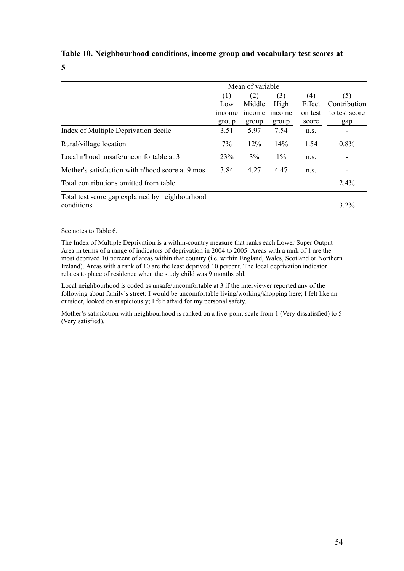#### **Table 10. Neighbourhood conditions, income group and vocabulary test scores at**

#### **5**

|                                                  | Mean of variable |               |       |         |               |
|--------------------------------------------------|------------------|---------------|-------|---------|---------------|
|                                                  | (1)              | (2)           | (3)   | (4)     | (5)           |
|                                                  | Low              | Middle        | High  | Effect  | Contribution  |
|                                                  | <i>n</i> come    | <i>n</i> come | mcome | on test | to test score |
|                                                  | group            | group         | group | score   | gap           |
| Index of Multiple Deprivation decile             | 3.51             | 5.97          | 7.54  | n.s.    |               |
| Rural/village location                           | 7%               | 12%           | 14%   | 1.54    | 0.8%          |
| Local n'hood unsafe/uncomfortable at 3           | 23%              | 3%            | $1\%$ | n.S.    |               |
| Mother's satisfaction with n'hood score at 9 mos | 3.84             | 4.27          | 4.47  | n.S.    |               |
| Total contributions omitted from table           |                  |               |       |         | $2.4\%$       |
| Total test score gap explained by neighbourhood  |                  |               |       |         |               |
| conditions                                       |                  |               |       |         | $3.2\%$       |

See notes to Table 6.

The Index of Multiple Deprivation is a within-country measure that ranks each Lower Super Output Area in terms of a range of indicators of deprivation in 2004 to 2005. Areas with a rank of 1 are the most deprived 10 percent of areas within that country (i.e. within England, Wales, Scotland or Northern Ireland). Areas with a rank of 10 are the least deprived 10 percent. The local deprivation indicator relates to place of residence when the study child was 9 months old.

Local neighbourhood is coded as unsafe/uncomfortable at 3 if the interviewer reported any of the following about family's street: I would be uncomfortable living/working/shopping here; I felt like an outsider, looked on suspiciously; I felt afraid for my personal safety.

Mother's satisfaction with neighbourhood is ranked on a five-point scale from 1 (Very dissatisfied) to 5 (Very satisfied).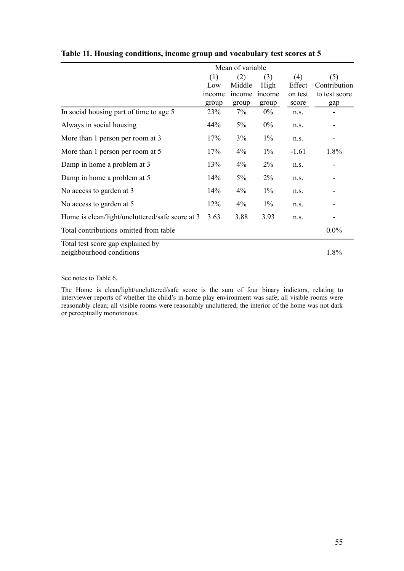|                                                               | Mean of variable |               |        |               |                     |
|---------------------------------------------------------------|------------------|---------------|--------|---------------|---------------------|
|                                                               | (1)              | (2)           | (3)    | (4)<br>Effect | (5)<br>Contribution |
|                                                               | Low              | Middle        | High   |               |                     |
|                                                               | income           | <i>n</i> come | income | on test       | to test score       |
|                                                               | group            | group         | group  | score         | gap                 |
| In social housing part of time to age 5                       | 23%              | 7%            | $0\%$  | n.s.          |                     |
| Always in social housing                                      | 44%              | 5%            | $0\%$  | n.S.          |                     |
| More than 1 person per room at 3                              | 17%              | 3%            | $1\%$  | n.s.          |                     |
| More than 1 person per room at 5                              | 17%              | 4%            | $1\%$  | $-1.61$       | 1.8%                |
| Damp in home a problem at 3                                   | 13%              | 4%            | $2\%$  | n.s.          |                     |
| Damp in home a problem at 5                                   | 14%              | 5%            | $2\%$  | n.s.          |                     |
| No access to garden at 3                                      | 14%              | 4%            | $1\%$  | n.s.          |                     |
| No access to garden at 5                                      | 12%              | 4%            | $1\%$  | n.s.          |                     |
| Home is clean/light/uncluttered/safe score at 3               | 3.63             | 3.88          | 3.93   | n.s.          |                     |
| Total contributions omitted from table                        |                  |               |        |               | $0.0\%$             |
| Total test score gap explained by<br>neighbourhood conditions |                  |               |        |               | 1.8%                |

**Table 11. Housing conditions, income group and vocabulary test scores at 5**

See notes to Table 6.

The Home is clean/light/uncluttered/safe score is the sum of four binary indictors, relating to interviewer reports of whether the child's in-home play environment was safe; all visible rooms were reasonably clean; all visible rooms were reasonably uncluttered; the interior of the home was not dark or perceptually monotonous.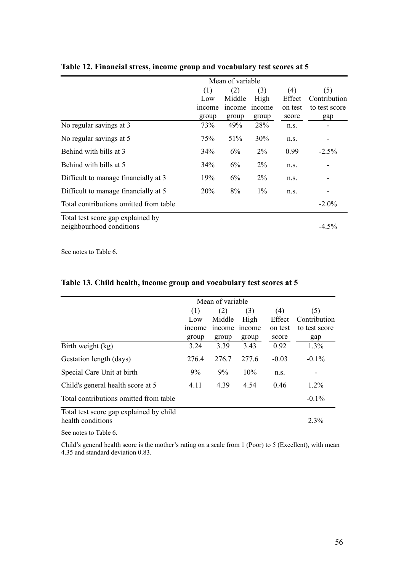|                                        | Mean of variable |              |              |         |               |  |
|----------------------------------------|------------------|--------------|--------------|---------|---------------|--|
|                                        | (1)              | (2)          | (3)          | (4)     | (5)           |  |
|                                        | Low              | Middle       | High         | Effect  | Contribution  |  |
|                                        | <i>ncome</i>     | <i>ncome</i> | <i>ncome</i> | on test | to test score |  |
|                                        | group            | group        | group        | score   | gap           |  |
| No regular savings at 3                | 73%              | 49%          | 28%          | n.S.    |               |  |
| No regular savings at 5                | 75%              | 51%          | 30%          | n.s.    |               |  |
| Behind with bills at 3                 | 34%              | 6%           | $2\%$        | 0.99    | $-2.5\%$      |  |
| Behind with bills at 5                 | 34%              | 6%           | $2\%$        | n.S.    |               |  |
| Difficult to manage financially at 3   | 19%              | 6%           | $2\%$        | n.S.    |               |  |
| Difficult to manage financially at 5   | 20%              | 8%           | $1\%$        | n.S.    |               |  |
| Total contributions omitted from table |                  |              |              |         | $-2.0\%$      |  |

#### **Table 12. Financial stress, income group and vocabulary test scores at 5**

Total test score gap explained by neighbourhood conditions -4.5%

See notes to Table 6.

|                                         | Mean of variable |        |              |         |               |
|-----------------------------------------|------------------|--------|--------------|---------|---------------|
|                                         | (1)              | (2)    | (3)          | (4)     | (5)           |
|                                         | Low              | Middle | High         | Effect  | Contribution  |
|                                         | <i>ncome</i>     | income | <i>ncome</i> | on test | to test score |
|                                         | group            | group  | group        | score   | gap           |
| Birth weight (kg)                       | 3.24             | 3.39   | 3.43         | 0.92    | 1.3%          |
| Gestation length (days)                 | 276.4            | 276.7  | 277.6        | $-0.03$ | $-0.1\%$      |
| Special Care Unit at birth              | 9%               | 9%     | 10%          | n.S.    |               |
| Child's general health score at 5       | 4.11             | 4.39   | 4.54         | 046     | $1.2\%$       |
| Total contributions omitted from table  |                  |        |              |         | $-0.1\%$      |
| Total test score gap explained by child |                  |        |              |         |               |
| health conditions                       |                  |        |              |         | 2.3%          |

### **Table 13. Child health, income group and vocabulary test scores at 5**

See notes to Table 6.

Child's general health score is the mother's rating on a scale from 1 (Poor) to 5 (Excellent), with mean 4.35 and standard deviation 0.83.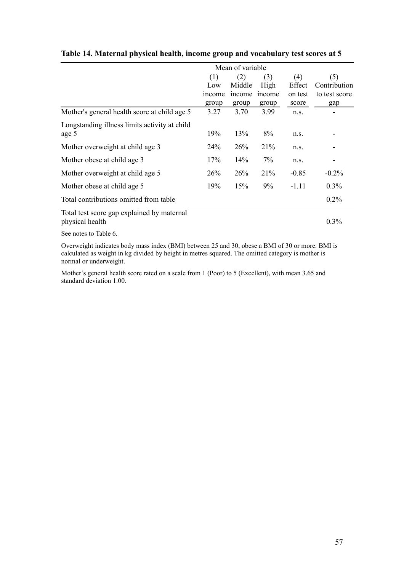|                                               | Mean of variable |        |              |         |               |
|-----------------------------------------------|------------------|--------|--------------|---------|---------------|
|                                               | (1)              | (2)    | (3)          | (4)     | (5)           |
|                                               | Low              | Middle | High         | Effect  | Contribution  |
|                                               | <i>n</i> come    | income | <i>ncome</i> | on test | to test score |
|                                               | group            | group  | group        | score   | gap           |
| Mother's general health score at child age 5  | 3.27             | 3.70   | 3.99         | n.s.    |               |
| Longstanding illness limits activity at child |                  |        |              |         |               |
| age 5                                         | 19%              | 13%    | 8%           | n.s.    |               |
| Mother overweight at child age 3              | 24 <sup>%</sup>  | 26%    | 21%          | n.s.    |               |
| Mother obese at child age 3                   | 17%              | 14%    | 7%           | n.s.    |               |
| Mother overweight at child age 5              | 26%              | 26%    | 21%          | $-0.85$ | $-0.2\%$      |
| Mother obese at child age 5                   | 19%              | 15%    | 9%           | $-1.11$ | $0.3\%$       |
| Total contributions omitted from table        |                  |        |              |         | $0.2\%$       |
| Total test score gan evolutional by maternal  |                  |        |              |         |               |

#### **Table 14. Maternal physical health, income group and vocabulary test scores at 5**

Total test score gap explained by maternal physical health 0.3%

See notes to Table 6.

Overweight indicates body mass index (BMI) between 25 and 30, obese a BMI of 30 or more. BMI is calculated as weight in kg divided by height in metres squared. The omitted category is mother is normal or underweight.

Mother's general health score rated on a scale from 1 (Poor) to 5 (Excellent), with mean 3.65 and standard deviation 1.00.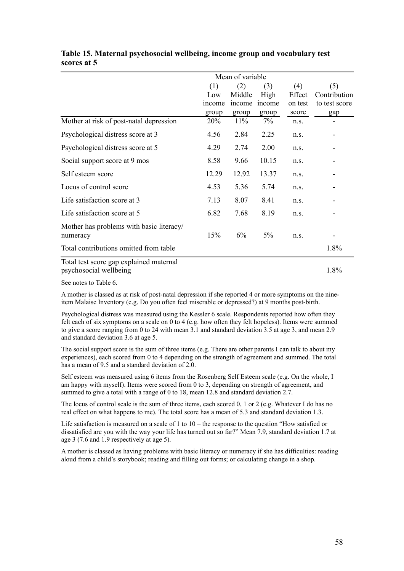|                                                      | Mean of variable |               |               |         |               |  |
|------------------------------------------------------|------------------|---------------|---------------|---------|---------------|--|
|                                                      | (1)              | (2)           | (3)           | (4)     | (5)           |  |
|                                                      | Low              | Middle        | High          | Effect  | Contribution  |  |
|                                                      | <i>ncome</i>     | <i>n</i> come | <i>n</i> come | on test | to test score |  |
|                                                      | group            | group         | group         | score   | gap           |  |
| Mother at risk of post-natal depression              | 20%              | 11%           | 7%            | n.s.    |               |  |
| Psychological distress score at 3                    | 4.56             | 2.84          | 2.25          | n.s.    |               |  |
| Psychological distress score at 5                    | 4.29             | 2.74          | 2.00          | n.s.    |               |  |
| Social support score at 9 mos                        | 8.58             | 9.66          | 10.15         | n.s.    |               |  |
| Self esteem score                                    | 12.29            | 12.92         | 13.37         | n.s.    |               |  |
| Locus of control score                               | 4.53             | 5.36          | 5.74          | n.s.    |               |  |
| Life satisfaction score at 3                         | 7.13             | 8.07          | 8.41          | n.s.    |               |  |
| Life satisfaction score at 5                         | 6.82             | 7.68          | 8.19          | n.s.    |               |  |
| Mother has problems with basic literacy/<br>numeracy | 15%              | 6%            | 5%            | n.S.    |               |  |
| Total contributions omitted from table               |                  |               |               |         | 1.8%          |  |
| Total test score can evolvined maternal              |                  |               |               |         |               |  |

#### **Table 15. Maternal psychosocial wellbeing, income group and vocabulary test scores at 5**

Total test score gap explained maternal psychosocial wellbeing 1.8%

See notes to Table 6.

A mother is classed as at risk of post-natal depression if she reported 4 or more symptoms on the nineitem Malaise Inventory (e.g. Do you often feel miserable or depressed?) at 9 months post-birth.

Psychological distress was measured using the Kessler 6 scale. Respondents reported how often they felt each of six symptoms on a scale on 0 to 4 (e.g. how often they felt hopeless). Items were summed to give a score ranging from 0 to 24 with mean 3.1 and standard deviation 3.5 at age 3, and mean 2.9 and standard deviation 3.6 at age 5.

The social support score is the sum of three items (e.g. There are other parents I can talk to about my experiences), each scored from 0 to 4 depending on the strength of agreement and summed. The total has a mean of 9.5 and a standard deviation of 2.0.

Self esteem was measured using 6 items from the Rosenberg Self Esteem scale (e.g. On the whole, I am happy with myself). Items were scored from 0 to 3, depending on strength of agreement, and summed to give a total with a range of 0 to 18, mean 12.8 and standard deviation 2.7.

The locus of control scale is the sum of three items, each scored 0, 1 or 2 (e.g. Whatever I do has no real effect on what happens to me). The total score has a mean of 5.3 and standard deviation 1.3.

Life satisfaction is measured on a scale of 1 to  $10 -$  the response to the question "How satisfied or dissatisfied are you with the way your life has turned out so far?" Mean 7.9, standard deviation 1.7 at age 3 (7.6 and 1.9 respectively at age 5).

A mother is classed as having problems with basic literacy or numeracy if she has difficulties: reading aloud from a child's storybook; reading and filling out forms; or calculating change in a shop.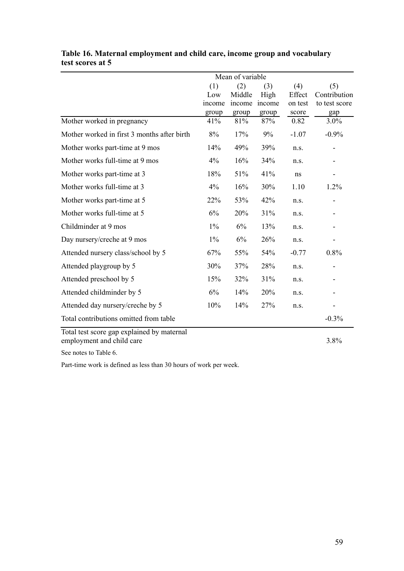|                                             | Mean of variable |        |        |         |               |  |  |
|---------------------------------------------|------------------|--------|--------|---------|---------------|--|--|
|                                             | (1)              | (2)    | (3)    | (4)     | (5)           |  |  |
|                                             | Low              | Middle | High   | Effect  | Contribution  |  |  |
|                                             | income           | income | income | on test | to test score |  |  |
|                                             | group            | group  | group  | score   | gap           |  |  |
| Mother worked in pregnancy                  | 41%              | 81%    | 87%    | 0.82    | 3.0%          |  |  |
| Mother worked in first 3 months after birth | 8%               | 17%    | 9%     | $-1.07$ | $-0.9%$       |  |  |
| Mother works part-time at 9 mos             | 14%              | 49%    | 39%    | n.s.    |               |  |  |
| Mother works full-time at 9 mos             | 4%               | 16%    | 34%    | n.s.    |               |  |  |
| Mother works part-time at 3                 | 18%              | 51%    | 41%    | ns      |               |  |  |
| Mother works full-time at 3                 | 4%               | 16%    | 30%    | 1.10    | 1.2%          |  |  |
| Mother works part-time at 5                 | 22%              | 53%    | 42%    | n.s.    |               |  |  |
| Mother works full-time at 5                 | 6%               | 20%    | 31%    | n.s.    |               |  |  |
| Childminder at 9 mos                        | $1\%$            | 6%     | 13%    | n.s.    |               |  |  |
| Day nursery/creche at 9 mos                 | $1\%$            | 6%     | 26%    | n.s.    |               |  |  |
| Attended nursery class/school by 5          | 67%              | 55%    | 54%    | $-0.77$ | 0.8%          |  |  |
| Attended playgroup by 5                     | 30%              | 37%    | 28%    | n.s.    |               |  |  |
| Attended preschool by 5                     | 15%              | 32%    | 31%    | n.s.    |               |  |  |
| Attended childminder by 5                   | 6%               | 14%    | 20%    | n.s.    |               |  |  |
| Attended day nursery/creche by 5            | 10%              | 14%    | 27%    | n.s.    |               |  |  |
| Total contributions omitted from table      |                  |        |        |         | $-0.3%$       |  |  |
| . 1 . 1 1 1 .<br>$T - 1 - 1 + 1 - 1 = 1$    |                  |        |        |         |               |  |  |

### **Table 16. Maternal employment and child care, income group and vocabulary test scores at 5**

Total test score gap explained by maternal employment and child care 3.8%

See notes to Table 6.

Part-time work is defined as less than 30 hours of work per week.